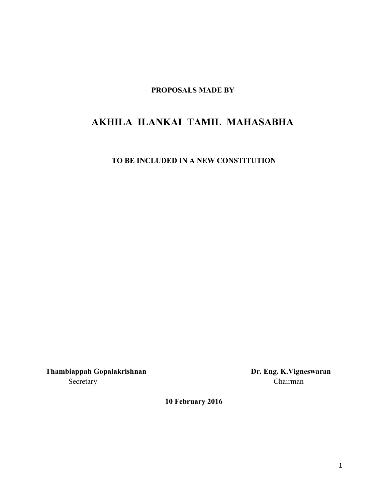**PROPOSALS MADE BY**

# **AKHILA ILANKAI TAMIL MAHASABHA**

**TO BE INCLUDED IN A NEW CONSTITUTION**

**Thambiappah Gopalakrishnan Dr. Eng. K.Vigneswaran** Secretary Chairman

**10 February 2016**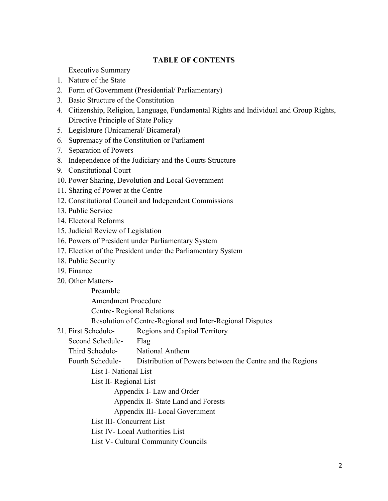#### **TABLE OF CONTENTS**

Executive Summary

- 1. Nature of the State
- 2. Form of Government (Presidential/ Parliamentary)
- 3. Basic Structure of the Constitution
- 4. Citizenship, Religion, Language, Fundamental Rights and Individual and Group Rights, Directive Principle of State Policy
- 5. Legislature (Unicameral/ Bicameral)
- 6. Supremacy of the Constitution or Parliament
- 7. Separation of Powers
- 8. Independence of the Judiciary and the Courts Structure
- 9. Constitutional Court
- 10. Power Sharing, Devolution and Local Government
- 11. Sharing of Power at the Centre
- 12. Constitutional Council and Independent Commissions
- 13. Public Service
- 14. Electoral Reforms
- 15. Judicial Review of Legislation
- 16. Powers of President under Parliamentary System
- 17. Election of the President under the Parliamentary System
- 18. Public Security
- 19. Finance
- 20. Other Matters-

Preamble

Amendment Procedure

Centre- Regional Relations

Resolution of Centre-Regional and Inter-Regional Disputes

- 21. First Schedule- Regions and Capital Territory
	- Second Schedule- Flag

Third Schedule- National Anthem

Fourth Schedule- Distribution of Powers between the Centre and the Regions

List I- National List

List II- Regional List

Appendix I- Law and Order

Appendix II- State Land and Forests

Appendix III- Local Government

List III- Concurrent List

List IV- Local Authorities List

List V- Cultural Community Councils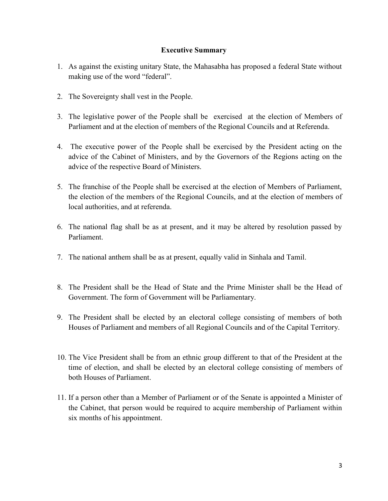#### **Executive Summary**

- 1. As against the existing unitary State, the Mahasabha has proposed a federal State without making use of the word "federal".
- 2. The Sovereignty shall vest in the People.
- 3. The legislative power of the People shall be exercised at the election of Members of Parliament and at the election of members of the Regional Councils and at Referenda.
- 4. The executive power of the People shall be exercised by the President acting on the advice of the Cabinet of Ministers, and by the Governors of the Regions acting on the advice of the respective Board of Ministers.
- 5. The franchise of the People shall be exercised at the election of Members of Parliament, the election of the members of the Regional Councils, and at the election of members of local authorities, and at referenda.
- 6. The national flag shall be as at present, and it may be altered by resolution passed by Parliament.
- 7. The national anthem shall be as at present, equally valid in Sinhala and Tamil.
- 8. The President shall be the Head of State and the Prime Minister shall be the Head of Government. The form of Government will be Parliamentary.
- 9. The President shall be elected by an electoral college consisting of members of both Houses of Parliament and members of all Regional Councils and of the Capital Territory.
- 10. The Vice President shall be from an ethnic group different to that of the President at the time of election, and shall be elected by an electoral college consisting of members of both Houses of Parliament.
- 11. If a person other than a Member of Parliament or of the Senate is appointed a Minister of the Cabinet, that person would be required to acquire membership of Parliament within six months of his appointment.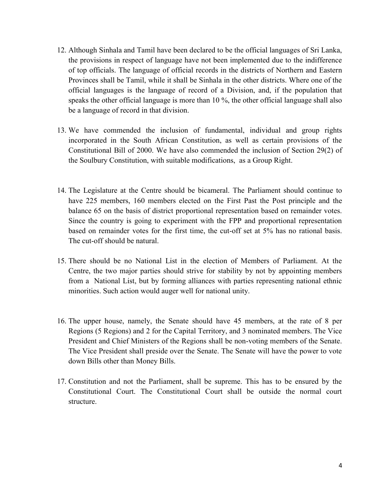- 12. Although Sinhala and Tamil have been declared to be the official languages of Sri Lanka, the provisions in respect of language have not been implemented due to the indifference of top officials. The language of official records in the districts of Northern and Eastern Provinces shall be Tamil, while it shall be Sinhala in the other districts. Where one of the official languages is the language of record of a Division, and, if the population that speaks the other official language is more than 10 %, the other official language shall also be a language of record in that division.
- 13. We have commended the inclusion of fundamental, individual and group rights incorporated in the South African Constitution, as well as certain provisions of the Constitutional Bill of 2000. We have also commended the inclusion of Section 29(2) of the Soulbury Constitution, with suitable modifications, as a Group Right.
- 14. The Legislature at the Centre should be bicameral. The Parliament should continue to have 225 members, 160 members elected on the First Past the Post principle and the balance 65 on the basis of district proportional representation based on remainder votes. Since the country is going to experiment with the FPP and proportional representation based on remainder votes for the first time, the cut-off set at 5% has no rational basis. The cut-off should be natural.
- 15. There should be no National List in the election of Members of Parliament. At the Centre, the two major parties should strive for stability by not by appointing members from a National List, but by forming alliances with parties representing national ethnic minorities. Such action would auger well for national unity.
- 16. The upper house, namely, the Senate should have 45 members, at the rate of 8 per Regions (5 Regions) and 2 for the Capital Territory, and 3 nominated members. The Vice President and Chief Ministers of the Regions shall be non-voting members of the Senate. The Vice President shall preside over the Senate. The Senate will have the power to vote down Bills other than Money Bills.
- 17. Constitution and not the Parliament, shall be supreme. This has to be ensured by the Constitutional Court. The Constitutional Court shall be outside the normal court structure.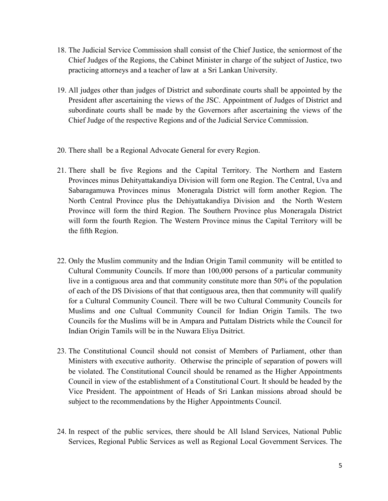- 18. The Judicial Service Commission shall consist of the Chief Justice, the seniormost of the Chief Judges of the Regions, the Cabinet Minister in charge of the subject of Justice, two practicing attorneys and a teacher of law at a Sri Lankan University.
- 19. All judges other than judges of District and subordinate courts shall be appointed by the President after ascertaining the views of the JSC. Appointment of Judges of District and subordinate courts shall be made by the Governors after ascertaining the views of the Chief Judge of the respective Regions and of the Judicial Service Commission.
- 20. There shall be a Regional Advocate General for every Region.
- 21. There shall be five Regions and the Capital Territory. The Northern and Eastern Provinces minus Dehityattakandiya Division will form one Region. The Central, Uva and Sabaragamuwa Provinces minus Moneragala District will form another Region. The North Central Province plus the Dehiyattakandiya Division and the North Western Province will form the third Region. The Southern Province plus Moneragala District will form the fourth Region. The Western Province minus the Capital Territory will be the fifth Region.
- 22. Only the Muslim community and the Indian Origin Tamil community will be entitled to Cultural Community Councils. If more than 100,000 persons of a particular community live in a contiguous area and that community constitute more than 50% of the population of each of the DS Divisions of that that contiguous area, then that community will qualify for a Cultural Community Council. There will be two Cultural Community Councils for Muslims and one Cultual Community Council for Indian Origin Tamils. The two Councils for the Muslims will be in Ampara and Puttalam Districts while the Council for Indian Origin Tamils will be in the Nuwara Eliya Dsitrict.
- 23. The Constitutional Council should not consist of Members of Parliament, other than Ministers with executive authority. Otherwise the principle of separation of powers will be violated. The Constitutional Council should be renamed as the Higher Appointments Council in view of the establishment of a Constitutional Court. It should be headed by the Vice President. The appointment of Heads of Sri Lankan missions abroad should be subject to the recommendations by the Higher Appointments Council.
- 24. In respect of the public services, there should be All Island Services, National Public Services, Regional Public Services as well as Regional Local Government Services. The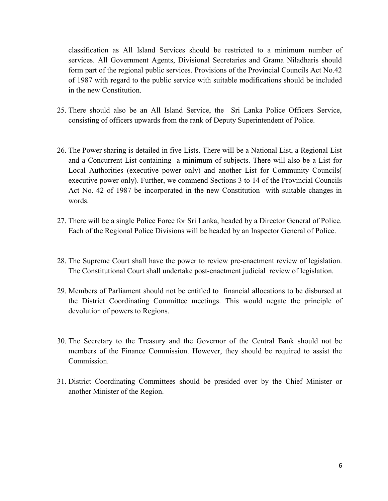classification as All Island Services should be restricted to a minimum number of services. All Government Agents, Divisional Secretaries and Grama Niladharis should form part of the regional public services. Provisions of the Provincial Councils Act No.42 of 1987 with regard to the public service with suitable modifications should be included in the new Constitution.

- 25. There should also be an All Island Service, the Sri Lanka Police Officers Service, consisting of officers upwards from the rank of Deputy Superintendent of Police.
- 26. The Power sharing is detailed in five Lists. There will be a National List, a Regional List and a Concurrent List containing a minimum of subjects. There will also be a List for Local Authorities (executive power only) and another List for Community Councils( executive power only). Further, we commend Sections 3 to 14 of the Provincial Councils Act No. 42 of 1987 be incorporated in the new Constitution with suitable changes in words.
- 27. There will be a single Police Force for Sri Lanka, headed by a Director General of Police. Each of the Regional Police Divisions will be headed by an Inspector General of Police.
- 28. The Supreme Court shall have the power to review pre-enactment review of legislation. The Constitutional Court shall undertake post-enactment judicial review of legislation.
- 29. Members of Parliament should not be entitled to financial allocations to be disbursed at the District Coordinating Committee meetings. This would negate the principle of devolution of powers to Regions.
- 30. The Secretary to the Treasury and the Governor of the Central Bank should not be members of the Finance Commission. However, they should be required to assist the Commission.
- 31. District Coordinating Committees should be presided over by the Chief Minister or another Minister of the Region.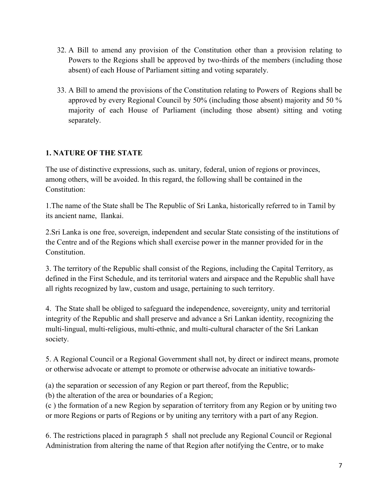- 32. A Bill to amend any provision of the Constitution other than a provision relating to Powers to the Regions shall be approved by two-thirds of the members (including those absent) of each House of Parliament sitting and voting separately.
- 33. A Bill to amend the provisions of the Constitution relating to Powers of Regions shall be approved by every Regional Council by 50% (including those absent) majority and 50 % majority of each House of Parliament (including those absent) sitting and voting separately.

# **1. NATURE OF THE STATE**

The use of distinctive expressions, such as. unitary, federal, union of regions or provinces, among others, will be avoided. In this regard, the following shall be contained in the Constitution:

1.The name of the State shall be The Republic of Sri Lanka, historically referred to in Tamil by its ancient name, Ilankai.

2.Sri Lanka is one free, sovereign, independent and secular State consisting of the institutions of the Centre and of the Regions which shall exercise power in the manner provided for in the **Constitution** 

3. The territory of the Republic shall consist of the Regions, including the Capital Territory, as defined in the First Schedule, and its territorial waters and airspace and the Republic shall have all rights recognized by law, custom and usage, pertaining to such territory.

4. The State shall be obliged to safeguard the independence, sovereignty, unity and territorial integrity of the Republic and shall preserve and advance a Sri Lankan identity, recognizing the multi-lingual, multi-religious, multi-ethnic, and multi-cultural character of the Sri Lankan society.

5. A Regional Council or a Regional Government shall not, by direct or indirect means, promote or otherwise advocate or attempt to promote or otherwise advocate an initiative towards-

(a) the separation or secession of any Region or part thereof, from the Republic;

(b) the alteration of the area or boundaries of a Region;

(c ) the formation of a new Region by separation of territory from any Region or by uniting two or more Regions or parts of Regions or by uniting any territory with a part of any Region.

6. The restrictions placed in paragraph 5 shall not preclude any Regional Council or Regional Administration from altering the name of that Region after notifying the Centre, or to make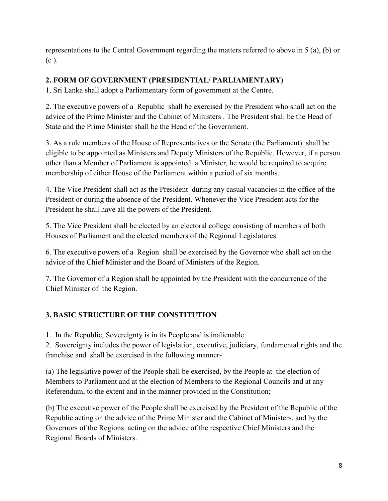representations to the Central Government regarding the matters referred to above in 5 (a), (b) or (c ).

# **2. FORM OF GOVERNMENT (PRESIDENTIAL/ PARLIAMENTARY)**

1. Sri Lanka shall adopt a Parliamentary form of government at the Centre.

2. The executive powers of a Republic shall be exercised by the President who shall act on the advice of the Prime Minister and the Cabinet of Ministers . The President shall be the Head of State and the Prime Minister shall be the Head of the Government.

3. As a rule members of the House of Representatives or the Senate (the Parliament) shall be eligible to be appointed as Ministers and Deputy Ministers of the Republic. However, if a person other than a Member of Parliament is appointed a Minister, he would be required to acquire membership of either House of the Parliament within a period of six months.

4. The Vice President shall act as the President during any casual vacancies in the office of the President or during the absence of the President. Whenever the Vice President acts for the President he shall have all the powers of the President.

5. The Vice President shall be elected by an electoral college consisting of members of both Houses of Parliament and the elected members of the Regional Legislatures.

6. The executive powers of a Region shall be exercised by the Governor who shall act on the advice of the Chief Minister and the Board of Ministers of the Region.

7. The Governor of a Region shall be appointed by the President with the concurrence of the Chief Minister of the Region.

# **3. BASIC STRUCTURE OF THE CONSTITUTION**

1. In the Republic, Sovereignty is in its People and is inalienable.

2. Sovereignty includes the power of legislation, executive, judiciary, fundamental rights and the franchise and shall be exercised in the following manner-

(a) The legislative power of the People shall be exercised, by the People at the election of Members to Parliament and at the election of Members to the Regional Councils and at any Referendum, to the extent and in the manner provided in the Constitution;

(b) The executive power of the People shall be exercised by the President of the Republic of the Republic acting on the advice of the Prime Minister and the Cabinet of Ministers, and by the Governors of the Regions acting on the advice of the respective Chief Ministers and the Regional Boards of Ministers.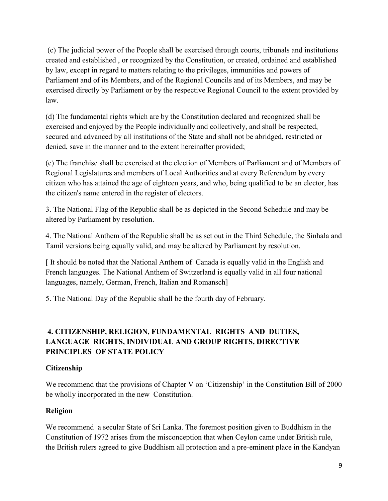(c) The judicial power of the People shall be exercised through courts, tribunals and institutions created and established , or recognized by the Constitution, or created, ordained and established by law, except in regard to matters relating to the privileges, immunities and powers of Parliament and of its Members, and of the Regional Councils and of its Members, and may be exercised directly by Parliament or by the respective Regional Council to the extent provided by law.

(d) The fundamental rights which are by the Constitution declared and recognized shall be exercised and enjoyed by the People individually and collectively, and shall be respected, secured and advanced by all institutions of the State and shall not be abridged, restricted or denied, save in the manner and to the extent hereinafter provided;

(e) The franchise shall be exercised at the election of Members of Parliament and of Members of Regional Legislatures and members of Local Authorities and at every Referendum by every citizen who has attained the age of eighteen years, and who, being qualified to be an elector, has the citizen's name entered in the register of electors.

3. The National Flag of the Republic shall be as depicted in the Second Schedule and may be altered by Parliament by resolution.

4. The National Anthem of the Republic shall be as set out in the Third Schedule, the Sinhala and Tamil versions being equally valid, and may be altered by Parliament by resolution.

[ It should be noted that the National Anthem of Canada is equally valid in the English and French languages. The National Anthem of Switzerland is equally valid in all four national languages, namely, German, French, Italian and Romansch]

5. The National Day of the Republic shall be the fourth day of February.

# **4. CITIZENSHIP, RELIGION, FUNDAMENTAL RIGHTS AND DUTIES, LANGUAGE RIGHTS, INDIVIDUAL AND GROUP RIGHTS, DIRECTIVE PRINCIPLES OF STATE POLICY**

#### **Citizenship**

We recommend that the provisions of Chapter V on 'Citizenship' in the Constitution Bill of 2000 be wholly incorporated in the new Constitution.

### **Religion**

We recommend a secular State of Sri Lanka. The foremost position given to Buddhism in the Constitution of 1972 arises from the misconception that when Ceylon came under British rule, the British rulers agreed to give Buddhism all protection and a pre-eminent place in the Kandyan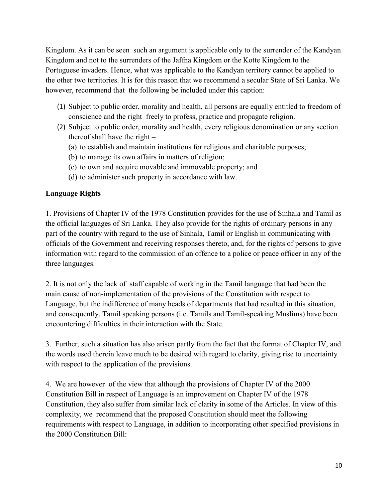Kingdom. As it can be seen such an argument is applicable only to the surrender of the Kandyan Kingdom and not to the surrenders of the Jaffna Kingdom or the Kotte Kingdom to the Portuguese invaders. Hence, what was applicable to the Kandyan territory cannot be applied to the other two territories. It is for this reason that we recommend a secular State of Sri Lanka. We however, recommend that the following be included under this caption:

- (1) Subject to public order, morality and health, all persons are equally entitled to freedom of conscience and the right freely to profess, practice and propagate religion.
- (2) Subject to public order, morality and health, every religious denomination or any section thereof shall have the right –
	- (a) to establish and maintain institutions for religious and charitable purposes;
	- (b) to manage its own affairs in matters of religion;
	- (c) to own and acquire movable and immovable property; and
	- (d) to administer such property in accordance with law.

#### **Language Rights**

1. Provisions of Chapter IV of the 1978 Constitution provides for the use of Sinhala and Tamil as the official languages of Sri Lanka. They also provide for the rights of ordinary persons in any part of the country with regard to the use of Sinhala, Tamil or English in communicating with officials of the Government and receiving responses thereto, and, for the rights of persons to give information with regard to the commission of an offence to a police or peace officer in any of the three languages.

2. It is not only the lack of staff capable of working in the Tamil language that had been the main cause of non-implementation of the provisions of the Constitution with respect to Language, but the indifference of many heads of departments that had resulted in this situation, and consequently, Tamil speaking persons (i.e. Tamils and Tamil-speaking Muslims) have been encountering difficulties in their interaction with the State.

3. Further, such a situation has also arisen partly from the fact that the format of Chapter IV, and the words used therein leave much to be desired with regard to clarity, giving rise to uncertainty with respect to the application of the provisions.

4. We are however of the view that although the provisions of Chapter IV of the 2000 Constitution Bill in respect of Language is an improvement on Chapter IV of the 1978 Constitution, they also suffer from similar lack of clarity in some of the Articles. In view of this complexity, we recommend that the proposed Constitution should meet the following requirements with respect to Language, in addition to incorporating other specified provisions in the 2000 Constitution Bill: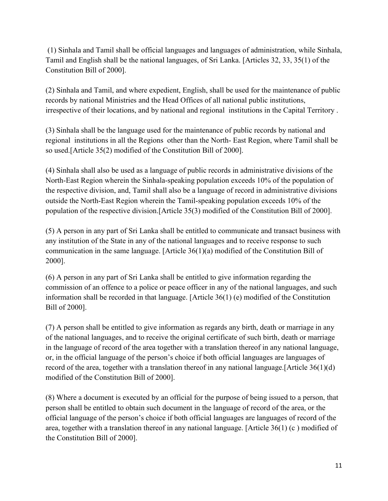(1) Sinhala and Tamil shall be official languages and languages of administration, while Sinhala, Tamil and English shall be the national languages, of Sri Lanka. [Articles 32, 33, 35(1) of the Constitution Bill of 2000].

(2) Sinhala and Tamil, and where expedient, English, shall be used for the maintenance of public records by national Ministries and the Head Offices of all national public institutions, irrespective of their locations, and by national and regional institutions in the Capital Territory .

(3) Sinhala shall be the language used for the maintenance of public records by national and regional institutions in all the Regions other than the North- East Region, where Tamil shall be so used.[Article 35(2) modified of the Constitution Bill of 2000].

(4) Sinhala shall also be used as a language of public records in administrative divisions of the North-East Region wherein the Sinhala-speaking population exceeds 10% of the population of the respective division, and, Tamil shall also be a language of record in administrative divisions outside the North-East Region wherein the Tamil-speaking population exceeds 10% of the population of the respective division.[Article 35(3) modified of the Constitution Bill of 2000].

(5) A person in any part of Sri Lanka shall be entitled to communicate and transact business with any institution of the State in any of the national languages and to receive response to such communication in the same language. [Article 36(1)(a) modified of the Constitution Bill of 2000].

(6) A person in any part of Sri Lanka shall be entitled to give information regarding the commission of an offence to a police or peace officer in any of the national languages, and such information shall be recorded in that language. [Article 36(1) (e) modified of the Constitution Bill of 2000].

(7) A person shall be entitled to give information as regards any birth, death or marriage in any of the national languages, and to receive the original certificate of such birth, death or marriage in the language of record of the area together with a translation thereof in any national language, or, in the official language of the person's choice if both official languages are languages of record of the area, together with a translation thereof in any national language.[Article 36(1)(d) modified of the Constitution Bill of 2000].

(8) Where a document is executed by an official for the purpose of being issued to a person, that person shall be entitled to obtain such document in the language of record of the area, or the official language of the person's choice if both official languages are languages of record of the area, together with a translation thereof in any national language. [Article 36(1) (c ) modified of the Constitution Bill of 2000].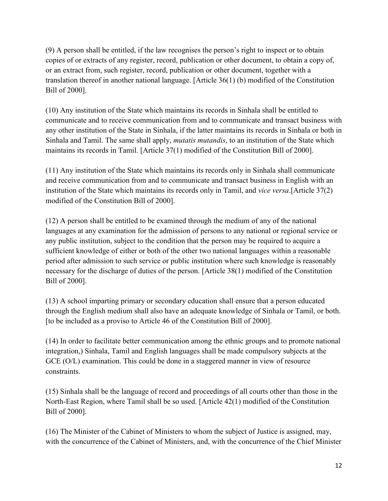(9) A person shall be entitled, if the law recognises the person's right to inspect or to obtain copies of or extracts of any register, record, publication or other document, to obtain a copy of, or an extract from, such register, record, publication or other document, together with a translation thereof in another national language. [Article 36(1) (b) modified of the Constitution Bill of 2000].

(10) Any institution of the State which maintains its records in Sinhala shall be entitled to communicate and to receive communication from and to communicate and transact business with any other institution of the State in Sinhala, if the latter maintains its records in Sinhala or both in Sinhala and Tamil. The same shall apply, *mutatis mutandis*, to an institution of the State which maintains its records in Tamil. [Article 37(1) modified of the Constitution Bill of 2000].

(11) Any institution of the State which maintains its records only in Sinhala shall communicate and receive communication from and to communicate and transact business in English with an institution of the State which maintains its records only in Tamil, and *vice versa*.[Article 37(2) modified of the Constitution Bill of 2000].

(12) A person shall be entitled to be examined through the medium of any of the national languages at any examination for the admission of persons to any national or regional service or any public institution, subject to the condition that the person may be required to acquire a sufficient knowledge of either or both of the other two national languages within a reasonable period after admission to such service or public institution where such knowledge is reasonably necessary for the discharge of duties of the person. [Article 38(1) modified of the Constitution Bill of 2000].

(13) A school imparting primary or secondary education shall ensure that a person educated through the English medium shall also have an adequate knowledge of Sinhala or Tamil, or both. [to be included as a proviso to Article 46 of the Constitution Bill of 2000].

(14) In order to facilitate better communication among the ethnic groups and to promote national integration,) Sinhala, Tamil and English languages shall be made compulsory subjects at the GCE (O/L) examination. This could be done in a staggered manner in view of resource constraints.

(15) Sinhala shall be the language of record and proceedings of all courts other than those in the North-East Region, where Tamil shall be so used. [Article 42(1) modified of the Constitution Bill of 2000].

(16) The Minister of the Cabinet of Ministers to whom the subject of Justice is assigned, may, with the concurrence of the Cabinet of Ministers, and, with the concurrence of the Chief Minister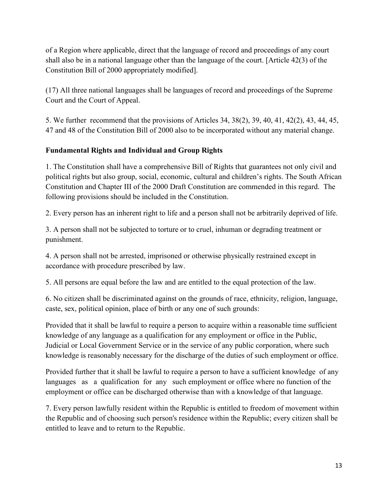of a Region where applicable, direct that the language of record and proceedings of any court shall also be in a national language other than the language of the court. [Article 42(3) of the Constitution Bill of 2000 appropriately modified].

(17) All three national languages shall be languages of record and proceedings of the Supreme Court and the Court of Appeal.

5. We further recommend that the provisions of Articles 34, 38(2), 39, 40, 41, 42(2), 43, 44, 45, 47 and 48 of the Constitution Bill of 2000 also to be incorporated without any material change.

# **Fundamental Rights and Individual and Group Rights**

1. The Constitution shall have a comprehensive Bill of Rights that guarantees not only civil and political rights but also group, social, economic, cultural and children's rights. The South African Constitution and Chapter III of the 2000 Draft Constitution are commended in this regard. The following provisions should be included in the Constitution.

2. Every person has an inherent right to life and a person shall not be arbitrarily deprived of life.

3. A person shall not be subjected to torture or to cruel, inhuman or degrading treatment or punishment.

4. A person shall not be arrested, imprisoned or otherwise physically restrained except in accordance with procedure prescribed by law.

5. All persons are equal before the law and are entitled to the equal protection of the law.

6. No citizen shall be discriminated against on the grounds of race, ethnicity, religion, language, caste, sex, political opinion, place of birth or any one of such grounds:

Provided that it shall be lawful to require a person to acquire within a reasonable time sufficient knowledge of any language as a qualification for any employment or office in the Public, Judicial or Local Government Service or in the service of any public corporation, where such knowledge is reasonably necessary for the discharge of the duties of such employment or office.

Provided further that it shall be lawful to require a person to have a sufficient knowledge of any languages as a qualification for any such employment or office where no function of the employment or office can be discharged otherwise than with a knowledge of that language.

7. Every person lawfully resident within the Republic is entitled to freedom of movement within the Republic and of choosing such person's residence within the Republic; every citizen shall be entitled to leave and to return to the Republic.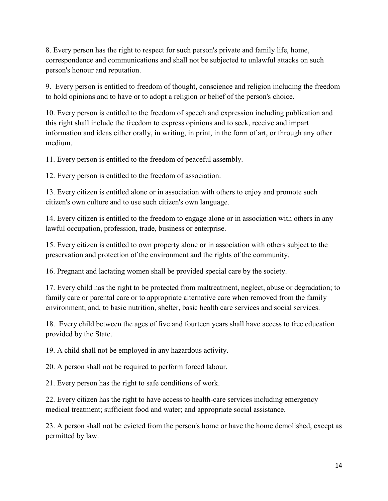8. Every person has the right to respect for such person's private and family life, home, correspondence and communications and shall not be subjected to unlawful attacks on such person's honour and reputation.

9. Every person is entitled to freedom of thought, conscience and religion including the freedom to hold opinions and to have or to adopt a religion or belief of the person's choice.

10. Every person is entitled to the freedom of speech and expression including publication and this right shall include the freedom to express opinions and to seek, receive and impart information and ideas either orally, in writing, in print, in the form of art, or through any other medium.

11. Every person is entitled to the freedom of peaceful assembly.

12. Every person is entitled to the freedom of association.

13. Every citizen is entitled alone or in association with others to enjoy and promote such citizen's own culture and to use such citizen's own language.

14. Every citizen is entitled to the freedom to engage alone or in association with others in any lawful occupation, profession, trade, business or enterprise.

15. Every citizen is entitled to own property alone or in association with others subject to the preservation and protection of the environment and the rights of the community.

16. Pregnant and lactating women shall be provided special care by the society.

17. Every child has the right to be protected from maltreatment, neglect, abuse or degradation; to family care or parental care or to appropriate alternative care when removed from the family environment; and, to basic nutrition, shelter, basic health care services and social services.

18. Every child between the ages of five and fourteen years shall have access to free education provided by the State.

19. A child shall not be employed in any hazardous activity.

20. A person shall not be required to perform forced labour.

21. Every person has the right to safe conditions of work.

22. Every citizen has the right to have access to health-care services including emergency medical treatment; sufficient food and water; and appropriate social assistance.

23. A person shall not be evicted from the person's home or have the home demolished, except as permitted by law.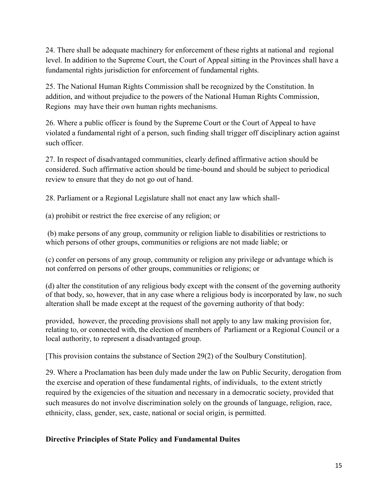24. There shall be adequate machinery for enforcement of these rights at national and regional level. In addition to the Supreme Court, the Court of Appeal sitting in the Provinces shall have a fundamental rights jurisdiction for enforcement of fundamental rights.

25. The National Human Rights Commission shall be recognized by the Constitution. In addition, and without prejudice to the powers of the National Human Rights Commission, Regions may have their own human rights mechanisms.

26. Where a public officer is found by the Supreme Court or the Court of Appeal to have violated a fundamental right of a person, such finding shall trigger off disciplinary action against such officer.

27. In respect of disadvantaged communities, clearly defined affirmative action should be considered. Such affirmative action should be time-bound and should be subject to periodical review to ensure that they do not go out of hand.

28. Parliament or a Regional Legislature shall not enact any law which shall-

(a) prohibit or restrict the free exercise of any religion; or

(b) make persons of any group, community or religion liable to disabilities or restrictions to which persons of other groups, communities or religions are not made liable; or

(c) confer on persons of any group, community or religion any privilege or advantage which is not conferred on persons of other groups, communities or religions; or

(d) alter the constitution of any religious body except with the consent of the governing authority of that body, so, however, that in any case where a religious body is incorporated by law, no such alteration shall be made except at the request of the governing authority of that body:

provided, however, the preceding provisions shall not apply to any law making provision for, relating to, or connected with, the election of members of Parliament or a Regional Council or a local authority, to represent a disadvantaged group.

[This provision contains the substance of Section 29(2) of the Soulbury Constitution].

29. Where a Proclamation has been duly made under the law on Public Security, derogation from the exercise and operation of these fundamental rights, of individuals, to the extent strictly required by the exigencies of the situation and necessary in a democratic society, provided that such measures do not involve discrimination solely on the grounds of language, religion, race, ethnicity, class, gender, sex, caste, national or social origin, is permitted.

#### **Directive Principles of State Policy and Fundamental Duites**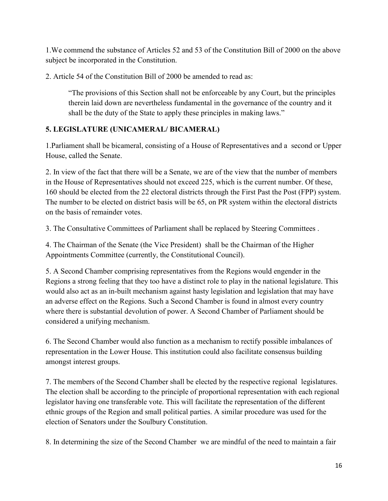1.We commend the substance of Articles 52 and 53 of the Constitution Bill of 2000 on the above subject be incorporated in the Constitution.

2. Article 54 of the Constitution Bill of 2000 be amended to read as:

"The provisions of this Section shall not be enforceable by any Court, but the principles therein laid down are nevertheless fundamental in the governance of the country and it shall be the duty of the State to apply these principles in making laws."

# **5. LEGISLATURE (UNICAMERAL/ BICAMERAL)**

1.Parliament shall be bicameral, consisting of a House of Representatives and a second or Upper House, called the Senate.

2. In view of the fact that there will be a Senate, we are of the view that the number of members in the House of Representatives should not exceed 225, which is the current number. Of these, 160 should be elected from the 22 electoral districts through the First Past the Post (FPP) system. The number to be elected on district basis will be 65, on PR system within the electoral districts on the basis of remainder votes.

3. The Consultative Committees of Parliament shall be replaced by Steering Committees .

4. The Chairman of the Senate (the Vice President) shall be the Chairman of the Higher Appointments Committee (currently, the Constitutional Council).

5. A Second Chamber comprising representatives from the Regions would engender in the Regions a strong feeling that they too have a distinct role to play in the national legislature. This would also act as an in-built mechanism against hasty legislation and legislation that may have an adverse effect on the Regions. Such a Second Chamber is found in almost every country where there is substantial devolution of power. A Second Chamber of Parliament should be considered a unifying mechanism.

6. The Second Chamber would also function as a mechanism to rectify possible imbalances of representation in the Lower House. This institution could also facilitate consensus building amongst interest groups.

7. The members of the Second Chamber shall be elected by the respective regional legislatures. The election shall be according to the principle of proportional representation with each regional legislator having one transferable vote. This will facilitate the representation of the different ethnic groups of the Region and small political parties. A similar procedure was used for the election of Senators under the Soulbury Constitution.

8. In determining the size of the Second Chamber we are mindful of the need to maintain a fair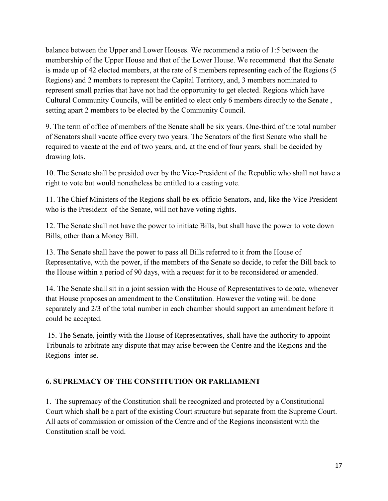balance between the Upper and Lower Houses. We recommend a ratio of 1:5 between the membership of the Upper House and that of the Lower House. We recommend that the Senate is made up of 42 elected members, at the rate of 8 members representing each of the Regions (5 Regions) and 2 members to represent the Capital Territory, and, 3 members nominated to represent small parties that have not had the opportunity to get elected. Regions which have Cultural Community Councils, will be entitled to elect only 6 members directly to the Senate , setting apart 2 members to be elected by the Community Council.

9. The term of office of members of the Senate shall be six years. One-third of the total number of Senators shall vacate office every two years. The Senators of the first Senate who shall be required to vacate at the end of two years, and, at the end of four years, shall be decided by drawing lots.

10. The Senate shall be presided over by the Vice-President of the Republic who shall not have a right to vote but would nonetheless be entitled to a casting vote.

11. The Chief Ministers of the Regions shall be ex-officio Senators, and, like the Vice President who is the President of the Senate, will not have voting rights.

12. The Senate shall not have the power to initiate Bills, but shall have the power to vote down Bills, other than a Money Bill.

13. The Senate shall have the power to pass all Bills referred to it from the House of Representative, with the power, if the members of the Senate so decide, to refer the Bill back to the House within a period of 90 days, with a request for it to be reconsidered or amended.

14. The Senate shall sit in a joint session with the House of Representatives to debate, whenever that House proposes an amendment to the Constitution. However the voting will be done separately and 2/3 of the total number in each chamber should support an amendment before it could be accepted.

15. The Senate, jointly with the House of Representatives, shall have the authority to appoint Tribunals to arbitrate any dispute that may arise between the Centre and the Regions and the Regions inter se.

### **6. SUPREMACY OF THE CONSTITUTION OR PARLIAMENT**

1. The supremacy of the Constitution shall be recognized and protected by a Constitutional Court which shall be a part of the existing Court structure but separate from the Supreme Court. All acts of commission or omission of the Centre and of the Regions inconsistent with the Constitution shall be void.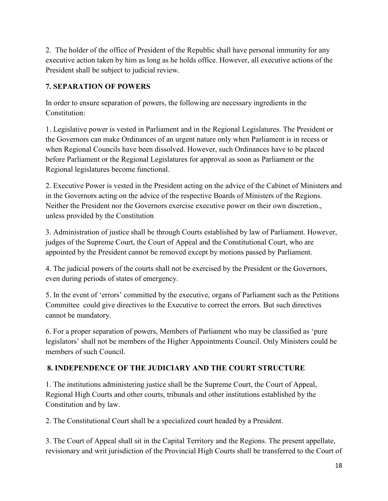2. The holder of the office of President of the Republic shall have personal immunity for any executive action taken by him as long as he holds office. However, all executive actions of the President shall be subject to judicial review.

# **7. SEPARATION OF POWERS**

In order to ensure separation of powers, the following are necessary ingredients in the Constitution:

1. Legislative power is vested in Parliament and in the Regional Legislatures. The President or the Governors can make Ordinances of an urgent nature only when Parliament is in recess or when Regional Councils have been dissolved. However, such Ordinances have to be placed before Parliament or the Regional Legislatures for approval as soon as Parliament or the Regional legislatures become functional.

2. Executive Power is vested in the President acting on the advice of the Cabinet of Ministers and in the Governors acting on the advice of the respective Boards of Ministers of the Regions. Neither the President nor the Governors exercise executive power on their own discretion., unless provided by the Constitution

3. Administration of justice shall be through Courts established by law of Parliament. However, judges of the Supreme Court, the Court of Appeal and the Constitutional Court, who are appointed by the President cannot be removed except by motions passed by Parliament.

4. The judicial powers of the courts shall not be exercised by the President or the Governors, even during periods of states of emergency.

5. In the event of 'errors' committed by the executive, organs of Parliament such as the Petitions Committee could give directives to the Executive to correct the errors. But such directives cannot be mandatory.

6. For a proper separation of powers, Members of Parliament who may be classified as 'pure legislators' shall not be members of the Higher Appointments Council. Only Ministers could be members of such Council.

# **8. INDEPENDENCE OF THE JUDICIARY AND THE COURT STRUCTURE**

1. The institutions administering justice shall be the Supreme Court, the Court of Appeal, Regional High Courts and other courts, tribunals and other institutions established by the Constitution and by law.

2. The Constitutional Court shall be a specialized court headed by a President.

3. The Court of Appeal shall sit in the Capital Territory and the Regions. The present appellate, revisionary and writ jurisdiction of the Provincial High Courts shall be transferred to the Court of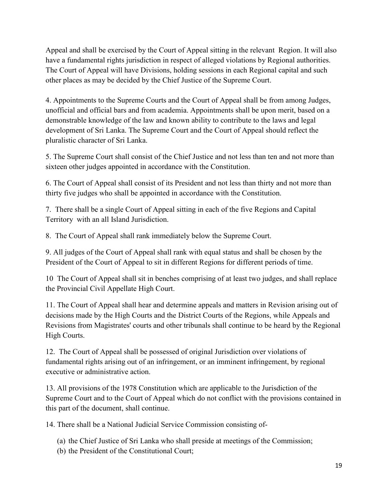Appeal and shall be exercised by the Court of Appeal sitting in the relevant Region. It will also have a fundamental rights jurisdiction in respect of alleged violations by Regional authorities. The Court of Appeal will have Divisions, holding sessions in each Regional capital and such other places as may be decided by the Chief Justice of the Supreme Court.

4. Appointments to the Supreme Courts and the Court of Appeal shall be from among Judges, unofficial and official bars and from academia. Appointments shall be upon merit, based on a demonstrable knowledge of the law and known ability to contribute to the laws and legal development of Sri Lanka. The Supreme Court and the Court of Appeal should reflect the pluralistic character of Sri Lanka.

5. The Supreme Court shall consist of the Chief Justice and not less than ten and not more than sixteen other judges appointed in accordance with the Constitution.

6. The Court of Appeal shall consist of its President and not less than thirty and not more than thirty five judges who shall be appointed in accordance with the Constitution.

7. There shall be a single Court of Appeal sitting in each of the five Regions and Capital Territory with an all Island Jurisdiction.

8. The Court of Appeal shall rank immediately below the Supreme Court.

9. All judges of the Court of Appeal shall rank with equal status and shall be chosen by the President of the Court of Appeal to sit in different Regions for different periods of time.

10 The Court of Appeal shall sit in benches comprising of at least two judges, and shall replace the Provincial Civil Appellate High Court.

11. The Court of Appeal shall hear and determine appeals and matters in Revision arising out of decisions made by the High Courts and the District Courts of the Regions, while Appeals and Revisions from Magistrates' courts and other tribunals shall continue to be heard by the Regional High Courts.

12. The Court of Appeal shall be possessed of original Jurisdiction over violations of fundamental rights arising out of an infringement, or an imminent infringement, by regional executive or administrative action.

13. All provisions of the 1978 Constitution which are applicable to the Jurisdiction of the Supreme Court and to the Court of Appeal which do not conflict with the provisions contained in this part of the document, shall continue.

14. There shall be a National Judicial Service Commission consisting of-

- (a) the Chief Justice of Sri Lanka who shall preside at meetings of the Commission;
- (b) the President of the Constitutional Court;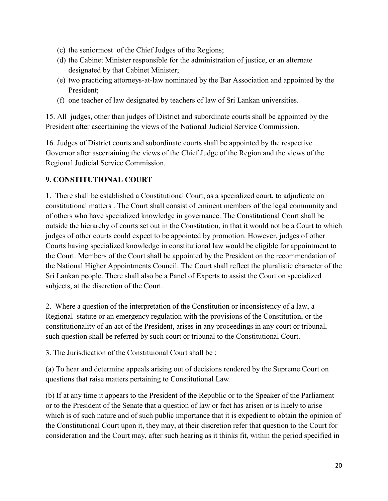- (c) the seniormost of the Chief Judges of the Regions;
- (d) the Cabinet Minister responsible for the administration of justice, or an alternate designated by that Cabinet Minister;
- (e) two practicing attorneys-at-law nominated by the Bar Association and appointed by the President;
- (f) one teacher of law designated by teachers of law of Sri Lankan universities.

15. All judges, other than judges of District and subordinate courts shall be appointed by the President after ascertaining the views of the National Judicial Service Commission.

16. Judges of District courts and subordinate courts shall be appointed by the respective Governor after ascertaining the views of the Chief Judge of the Region and the views of the Regional Judicial Service Commission.

# **9. CONSTITUTIONAL COURT**

1. There shall be established a Constitutional Court, as a specialized court, to adjudicate on constitutional matters . The Court shall consist of eminent members of the legal community and of others who have specialized knowledge in governance. The Constitutional Court shall be outside the hierarchy of courts set out in the Constitution, in that it would not be a Court to which judges of other courts could expect to be appointed by promotion. However, judges of other Courts having specialized knowledge in constitutional law would be eligible for appointment to the Court. Members of the Court shall be appointed by the President on the recommendation of the National Higher Appointments Council. The Court shall reflect the pluralistic character of the Sri Lankan people. There shall also be a Panel of Experts to assist the Court on specialized subjects, at the discretion of the Court.

2. Where a question of the interpretation of the Constitution or inconsistency of a law, a Regional statute or an emergency regulation with the provisions of the Constitution, or the constitutionality of an act of the President, arises in any proceedings in any court or tribunal, such question shall be referred by such court or tribunal to the Constitutional Court.

3. The Jurisdication of the Constituional Court shall be :

(a) To hear and determine appeals arising out of decisions rendered by the Supreme Court on questions that raise matters pertaining to Constitutional Law.

(b) If at any time it appears to the President of the Republic or to the Speaker of the Parliament or to the President of the Senate that a question of law or fact has arisen or is likely to arise which is of such nature and of such public importance that it is expedient to obtain the opinion of the Constitutional Court upon it, they may, at their discretion refer that question to the Court for consideration and the Court may, after such hearing as it thinks fit, within the period specified in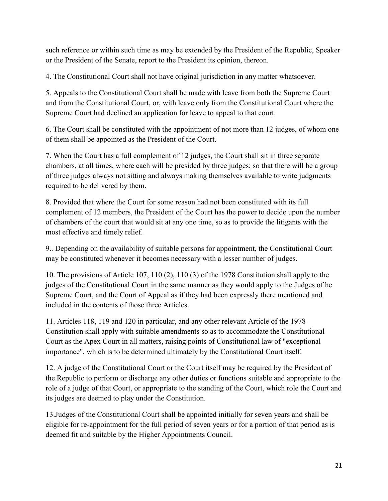such reference or within such time as may be extended by the President of the Republic, Speaker or the President of the Senate, report to the President its opinion, thereon.

4. The Constitutional Court shall not have original jurisdiction in any matter whatsoever.

5. Appeals to the Constitutional Court shall be made with leave from both the Supreme Court and from the Constitutional Court, or, with leave only from the Constitutional Court where the Supreme Court had declined an application for leave to appeal to that court.

6. The Court shall be constituted with the appointment of not more than 12 judges, of whom one of them shall be appointed as the President of the Court.

7. When the Court has a full complement of 12 judges, the Court shall sit in three separate chambers, at all times, where each will be presided by three judges; so that there will be a group of three judges always not sitting and always making themselves available to write judgments required to be delivered by them.

8. Provided that where the Court for some reason had not been constituted with its full complement of 12 members, the President of the Court has the power to decide upon the number of chambers of the court that would sit at any one time, so as to provide the litigants with the most effective and timely relief.

9.. Depending on the availability of suitable persons for appointment, the Constitutional Court may be constituted whenever it becomes necessary with a lesser number of judges.

10. The provisions of Article 107, 110 (2), 110 (3) of the 1978 Constitution shall apply to the judges of the Constitutional Court in the same manner as they would apply to the Judges of he Supreme Court, and the Court of Appeal as if they had been expressly there mentioned and included in the contents of those three Articles.

11. Articles 118, 119 and 120 in particular, and any other relevant Article of the 1978 Constitution shall apply with suitable amendments so as to accommodate the Constitutional Court as the Apex Court in all matters, raising points of Constitutional law of "exceptional importance", which is to be determined ultimately by the Constitutional Court itself.

12. A judge of the Constitutional Court or the Court itself may be required by the President of the Republic to perform or discharge any other duties or functions suitable and appropriate to the role of a judge of that Court, or appropriate to the standing of the Court, which role the Court and its judges are deemed to play under the Constitution.

13.Judges of the Constitutional Court shall be appointed initially for seven years and shall be eligible for re-appointment for the full period of seven years or for a portion of that period as is deemed fit and suitable by the Higher Appointments Council.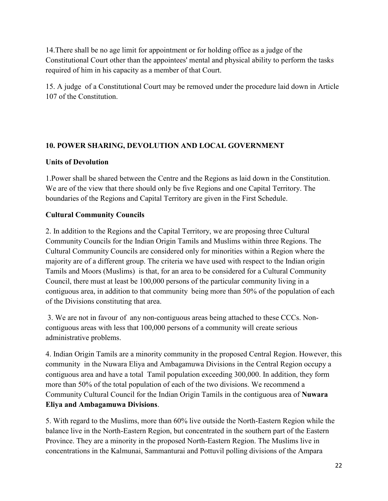14.There shall be no age limit for appointment or for holding office as a judge of the Constitutional Court other than the appointees' mental and physical ability to perform the tasks required of him in his capacity as a member of that Court.

15. A judge of a Constitutional Court may be removed under the procedure laid down in Article 107 of the Constitution.

### **10. POWER SHARING, DEVOLUTION AND LOCAL GOVERNMENT**

#### **Units of Devolution**

1.Power shall be shared between the Centre and the Regions as laid down in the Constitution. We are of the view that there should only be five Regions and one Capital Territory. The boundaries of the Regions and Capital Territory are given in the First Schedule.

#### **Cultural Community Councils**

2. In addition to the Regions and the Capital Territory, we are proposing three Cultural Community Councils for the Indian Origin Tamils and Muslims within three Regions. The Cultural Community Councils are considered only for minorities within a Region where the majority are of a different group. The criteria we have used with respect to the Indian origin Tamils and Moors (Muslims) is that, for an area to be considered for a Cultural Community Council, there must at least be 100,000 persons of the particular community living in a contiguous area, in addition to that community being more than 50% of the population of each of the Divisions constituting that area.

3. We are not in favour of any non-contiguous areas being attached to these CCCs. Noncontiguous areas with less that 100,000 persons of a community will create serious administrative problems.

4. Indian Origin Tamils are a minority community in the proposed Central Region. However, this community in the Nuwara Eliya and Ambagamuwa Divisions in the Central Region occupy a contiguous area and have a total Tamil population exceeding 300,000. In addition, they form more than 50% of the total population of each of the two divisions. We recommend a Community Cultural Council for the Indian Origin Tamils in the contiguous area of **Nuwara Eliya and Ambagamuwa Divisions**.

5. With regard to the Muslims, more than 60% live outside the North-Eastern Region while the balance live in the North-Eastern Region, but concentrated in the southern part of the Eastern Province. They are a minority in the proposed North-Eastern Region. The Muslims live in concentrations in the Kalmunai, Sammanturai and Pottuvil polling divisions of the Ampara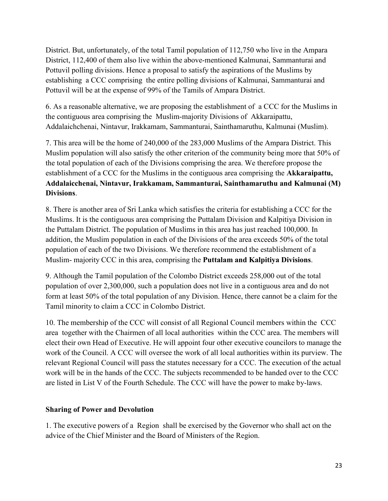District. But, unfortunately, of the total Tamil population of 112,750 who live in the Ampara District, 112,400 of them also live within the above-mentioned Kalmunai, Sammanturai and Pottuvil polling divisions. Hence a proposal to satisfy the aspirations of the Muslims by establishing a CCC comprising the entire polling divisions of Kalmunai, Sammanturai and Pottuvil will be at the expense of 99% of the Tamils of Ampara District.

6. As a reasonable alternative, we are proposing the establishment of a CCC for the Muslims in the contiguous area comprising the Muslim-majority Divisions of Akkaraipattu, Addalaichchenai, Nintavur, Irakkamam, Sammanturai, Sainthamaruthu, Kalmunai (Muslim).

7. This area will be the home of 240,000 of the 283,000 Muslims of the Ampara District. This Muslim population will also satisfy the other criterion of the community being more that 50% of the total population of each of the Divisions comprising the area. We therefore propose the establishment of a CCC for the Muslims in the contiguous area comprising the **Akkaraipattu, Addalaicchenai, Nintavur, Irakkamam, Sammanturai, Sainthamaruthu and Kalmunai (M) Divisions**.

8. There is another area of Sri Lanka which satisfies the criteria for establishing a CCC for the Muslims. It is the contiguous area comprising the Puttalam Division and Kalpitiya Division in the Puttalam District. The population of Muslims in this area has just reached 100,000. In addition, the Muslim population in each of the Divisions of the area exceeds 50% of the total population of each of the two Divisions. We therefore recommend the establishment of a Muslim- majority CCC in this area, comprising the **Puttalam and Kalpitiya Divisions**.

9. Although the Tamil population of the Colombo District exceeds 258,000 out of the total population of over 2,300,000, such a population does not live in a contiguous area and do not form at least 50% of the total population of any Division. Hence, there cannot be a claim for the Tamil minority to claim a CCC in Colombo District.

10. The membership of the CCC will consist of all Regional Council members within the CCC area together with the Chairmen of all local authorities within the CCC area. The members will elect their own Head of Executive. He will appoint four other executive councilors to manage the work of the Council. A CCC will oversee the work of all local authorities within its purview. The relevant Regional Council will pass the statutes necessary for a CCC. The execution of the actual work will be in the hands of the CCC. The subjects recommended to be handed over to the CCC are listed in List V of the Fourth Schedule. The CCC will have the power to make by-laws.

### **Sharing of Power and Devolution**

1. The executive powers of a Region shall be exercised by the Governor who shall act on the advice of the Chief Minister and the Board of Ministers of the Region.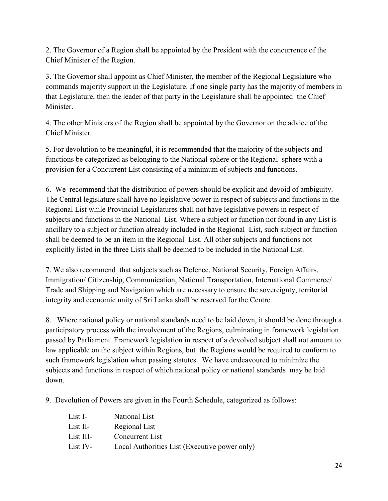2. The Governor of a Region shall be appointed by the President with the concurrence of the Chief Minister of the Region.

3. The Governor shall appoint as Chief Minister, the member of the Regional Legislature who commands majority support in the Legislature. If one single party has the majority of members in that Legislature, then the leader of that party in the Legislature shall be appointed the Chief **Minister** 

4. The other Ministers of the Region shall be appointed by the Governor on the advice of the Chief Minister.

5. For devolution to be meaningful, it is recommended that the majority of the subjects and functions be categorized as belonging to the National sphere or the Regional sphere with a provision for a Concurrent List consisting of a minimum of subjects and functions.

6. We recommend that the distribution of powers should be explicit and devoid of ambiguity. The Central legislature shall have no legislative power in respect of subjects and functions in the Regional List while Provincial Legislatures shall not have legislative powers in respect of subjects and functions in the National List. Where a subject or function not found in any List is ancillary to a subject or function already included in the Regional List, such subject or function shall be deemed to be an item in the Regional List. All other subjects and functions not explicitly listed in the three Lists shall be deemed to be included in the National List.

7. We also recommend that subjects such as Defence, National Security, Foreign Affairs, Immigration/ Citizenship, Communication, National Transportation, International Commerce/ Trade and Shipping and Navigation which are necessary to ensure the sovereignty, territorial integrity and economic unity of Sri Lanka shall be reserved for the Centre.

8. Where national policy or national standards need to be laid down, it should be done through a participatory process with the involvement of the Regions, culminating in framework legislation passed by Parliament. Framework legislation in respect of a devolved subject shall not amount to law applicable on the subject within Regions, but the Regions would be required to conform to such framework legislation when passing statutes. We have endeavoured to minimize the subjects and functions in respect of which national policy or national standards may be laid down.

9. Devolution of Powers are given in the Fourth Schedule, categorized as follows:

| List I-   | National List                                 |
|-----------|-----------------------------------------------|
| List II-  | Regional List                                 |
| List III- | Concurrent List                               |
| List IV-  | Local Authorities List (Executive power only) |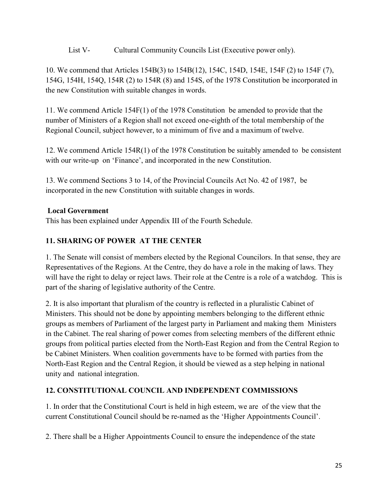List V- Cultural Community Councils List (Executive power only).

10. We commend that Articles 154B(3) to 154B(12), 154C, 154D, 154E, 154F (2) to 154F (7), 154G, 154H, 154Q, 154R (2) to 154R (8) and 154S, of the 1978 Constitution be incorporated in the new Constitution with suitable changes in words.

11. We commend Article 154F(1) of the 1978 Constitution be amended to provide that the number of Ministers of a Region shall not exceed one-eighth of the total membership of the Regional Council, subject however, to a minimum of five and a maximum of twelve.

12. We commend Article 154R(1) of the 1978 Constitution be suitably amended to be consistent with our write-up on 'Finance', and incorporated in the new Constitution.

13. We commend Sections 3 to 14, of the Provincial Councils Act No. 42 of 1987, be incorporated in the new Constitution with suitable changes in words.

### **Local Government**

This has been explained under Appendix III of the Fourth Schedule.

# **11. SHARING OF POWER AT THE CENTER**

1. The Senate will consist of members elected by the Regional Councilors. In that sense, they are Representatives of the Regions. At the Centre, they do have a role in the making of laws. They will have the right to delay or reject laws. Their role at the Centre is a role of a watchdog. This is part of the sharing of legislative authority of the Centre.

2. It is also important that pluralism of the country is reflected in a pluralistic Cabinet of Ministers. This should not be done by appointing members belonging to the different ethnic groups as members of Parliament of the largest party in Parliament and making them Ministers in the Cabinet. The real sharing of power comes from selecting members of the different ethnic groups from political parties elected from the North-East Region and from the Central Region to be Cabinet Ministers. When coalition governments have to be formed with parties from the North-East Region and the Central Region, it should be viewed as a step helping in national unity and national integration.

# **12. CONSTITUTIONAL COUNCIL AND INDEPENDENT COMMISSIONS**

1. In order that the Constitutional Court is held in high esteem, we are of the view that the current Constitutional Council should be re-named as the 'Higher Appointments Council'.

2. There shall be a Higher Appointments Council to ensure the independence of the state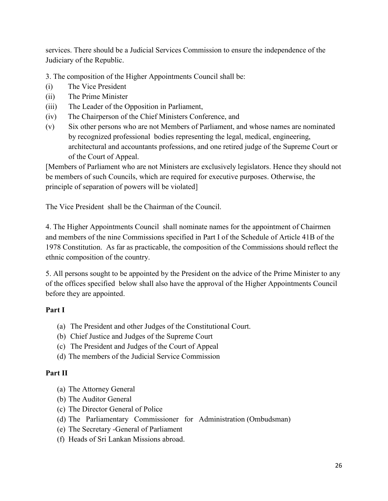services. There should be a Judicial Services Commission to ensure the independence of the Judiciary of the Republic.

3. The composition of the Higher Appointments Council shall be:

- (i) The Vice President
- (ii) The Prime Minister
- (iii) The Leader of the Opposition in Parliament,
- (iv) The Chairperson of the Chief Ministers Conference, and
- (v) Six other persons who are not Members of Parliament, and whose names are nominated by recognized professional bodies representing the legal, medical, engineering, architectural and accountants professions, and one retired judge of the Supreme Court or of the Court of Appeal.

[Members of Parliament who are not Ministers are exclusively legislators. Hence they should not be members of such Councils, which are required for executive purposes. Otherwise, the principle of separation of powers will be violated]

The Vice President shall be the Chairman of the Council.

4. The Higher Appointments Council shall nominate names for the appointment of Chairmen and members of the nine Commissions specified in Part I of the Schedule of Article 41B of the 1978 Constitution. As far as practicable, the composition of the Commissions should reflect the ethnic composition of the country.

5. All persons sought to be appointed by the President on the advice of the Prime Minister to any of the offices specified below shall also have the approval of the Higher Appointments Council before they are appointed.

#### **Part I**

- (a) The President and other Judges of the Constitutional Court.
- (b) Chief Justice and Judges of the Supreme Court
- (c) The President and Judges of the Court of Appeal
- (d) The members of the Judicial Service Commission

#### **Part II**

- (a) The Attorney General
- (b) The Auditor General
- (c) The Director General of Police
- (d) The Parliamentary Commissioner for Administration (Ombudsman)
- (e) The Secretary -General of Parliament
- (f) Heads of Sri Lankan Missions abroad.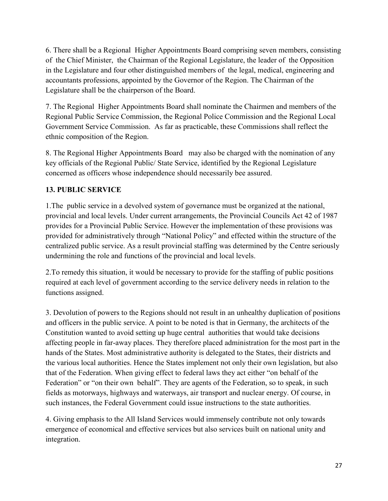6. There shall be a Regional Higher Appointments Board comprising seven members, consisting of the Chief Minister, the Chairman of the Regional Legislature, the leader of the Opposition in the Legislature and four other distinguished members of the legal, medical, engineering and accountants professions, appointed by the Governor of the Region. The Chairman of the Legislature shall be the chairperson of the Board.

7. The Regional Higher Appointments Board shall nominate the Chairmen and members of the Regional Public Service Commission, the Regional Police Commission and the Regional Local Government Service Commission. As far as practicable, these Commissions shall reflect the ethnic composition of the Region.

8. The Regional Higher Appointments Board may also be charged with the nomination of any key officials of the Regional Public/ State Service, identified by the Regional Legislature concerned as officers whose independence should necessarily bee assured.

# **13. PUBLIC SERVICE**

1.The public service in a devolved system of governance must be organized at the national, provincial and local levels. Under current arrangements, the Provincial Councils Act 42 of 1987 provides for a Provincial Public Service. However the implementation of these provisions was provided for administratively through "National Policy" and effected within the structure of the centralized public service. As a result provincial staffing was determined by the Centre seriously undermining the role and functions of the provincial and local levels.

2.To remedy this situation, it would be necessary to provide for the staffing of public positions required at each level of government according to the service delivery needs in relation to the functions assigned.

3. Devolution of powers to the Regions should not result in an unhealthy duplication of positions and officers in the public service. A point to be noted is that in Germany, the architects of the Constitution wanted to avoid setting up huge central authorities that would take decisions affecting people in far-away places. They therefore placed administration for the most part in the hands of the States. Most administrative authority is delegated to the States, their districts and the various local authorities. Hence the States implement not only their own legislation, but also that of the Federation. When giving effect to federal laws they act either "on behalf of the Federation" or "on their own behalf". They are agents of the Federation, so to speak, in such fields as motorways, highways and waterways, air transport and nuclear energy. Of course, in such instances, the Federal Government could issue instructions to the state authorities.

4. Giving emphasis to the All Island Services would immensely contribute not only towards emergence of economical and effective services but also services built on national unity and integration.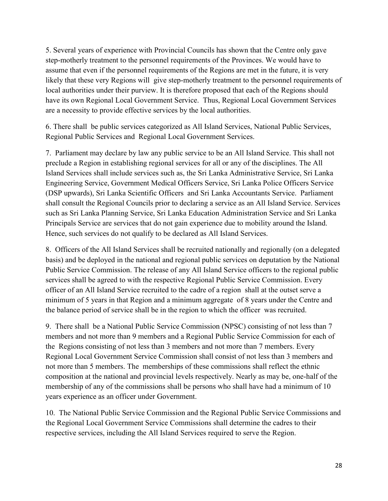5. Several years of experience with Provincial Councils has shown that the Centre only gave step-motherly treatment to the personnel requirements of the Provinces. We would have to assume that even if the personnel requirements of the Regions are met in the future, it is very likely that these very Regions will give step-motherly treatment to the personnel requirements of local authorities under their purview. It is therefore proposed that each of the Regions should have its own Regional Local Government Service. Thus, Regional Local Government Services are a necessity to provide effective services by the local authorities.

6. There shall be public services categorized as All Island Services, National Public Services, Regional Public Services and Regional Local Government Services.

7. Parliament may declare by law any public service to be an All Island Service. This shall not preclude a Region in establishing regional services for all or any of the disciplines. The All Island Services shall include services such as, the Sri Lanka Administrative Service, Sri Lanka Engineering Service, Government Medical Officers Service, Sri Lanka Police Officers Service (DSP upwards), Sri Lanka Scientific Officers and Sri Lanka Accountants Service. Parliament shall consult the Regional Councils prior to declaring a service as an All Island Service. Services such as Sri Lanka Planning Service, Sri Lanka Education Administration Service and Sri Lanka Principals Service are services that do not gain experience due to mobility around the Island. Hence, such services do not qualify to be declared as All Island Services.

8. Officers of the All Island Services shall be recruited nationally and regionally (on a delegated basis) and be deployed in the national and regional public services on deputation by the National Public Service Commission. The release of any All Island Service officers to the regional public services shall be agreed to with the respective Regional Public Service Commission. Every officer of an All Island Service recruited to the cadre of a region shall at the outset serve a minimum of 5 years in that Region and a minimum aggregate of 8 years under the Centre and the balance period of service shall be in the region to which the officer was recruited.

9. There shall be a National Public Service Commission (NPSC) consisting of not less than 7 members and not more than 9 members and a Regional Public Service Commission for each of the Regions consisting of not less than 3 members and not more than 7 members. Every Regional Local Government Service Commission shall consist of not less than 3 members and not more than 5 members. The memberships of these commissions shall reflect the ethnic composition at the national and provincial levels respectively. Nearly as may be, one-half of the membership of any of the commissions shall be persons who shall have had a minimum of 10 years experience as an officer under Government.

10. The National Public Service Commission and the Regional Public Service Commissions and the Regional Local Government Service Commissions shall determine the cadres to their respective services, including the All Island Services required to serve the Region.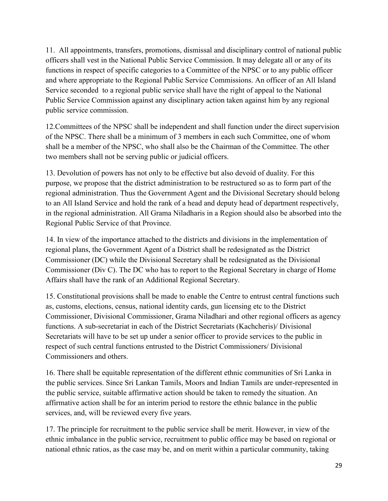11. All appointments, transfers, promotions, dismissal and disciplinary control of national public officers shall vest in the National Public Service Commission. It may delegate all or any of its functions in respect of specific categories to a Committee of the NPSC or to any public officer and where appropriate to the Regional Public Service Commissions. An officer of an All Island Service seconded to a regional public service shall have the right of appeal to the National Public Service Commission against any disciplinary action taken against him by any regional public service commission.

12.Committees of the NPSC shall be independent and shall function under the direct supervision of the NPSC. There shall be a minimum of 3 members in each such Committee, one of whom shall be a member of the NPSC, who shall also be the Chairman of the Committee. The other two members shall not be serving public or judicial officers.

13. Devolution of powers has not only to be effective but also devoid of duality. For this purpose, we propose that the district administration to be restructured so as to form part of the regional administration. Thus the Government Agent and the Divisional Secretary should belong to an All Island Service and hold the rank of a head and deputy head of department respectively, in the regional administration. All Grama Niladharis in a Region should also be absorbed into the Regional Public Service of that Province.

14. In view of the importance attached to the districts and divisions in the implementation of regional plans, the Government Agent of a District shall be redesignated as the District Commissioner (DC) while the Divisional Secretary shall be redesignated as the Divisional Commissioner (Div C). The DC who has to report to the Regional Secretary in charge of Home Affairs shall have the rank of an Additional Regional Secretary.

15. Constitutional provisions shall be made to enable the Centre to entrust central functions such as, customs, elections, census, national identity cards, gun licensing etc to the District Commissioner, Divisional Commissioner, Grama Niladhari and other regional officers as agency functions. A sub-secretariat in each of the District Secretariats (Kachcheris)/ Divisional Secretariats will have to be set up under a senior officer to provide services to the public in respect of such central functions entrusted to the District Commissioners/ Divisional Commissioners and others.

16. There shall be equitable representation of the different ethnic communities of Sri Lanka in the public services. Since Sri Lankan Tamils, Moors and Indian Tamils are under-represented in the public service, suitable affirmative action should be taken to remedy the situation. An affirmative action shall be for an interim period to restore the ethnic balance in the public services, and, will be reviewed every five years.

17. The principle for recruitment to the public service shall be merit. However, in view of the ethnic imbalance in the public service, recruitment to public office may be based on regional or national ethnic ratios, as the case may be, and on merit within a particular community, taking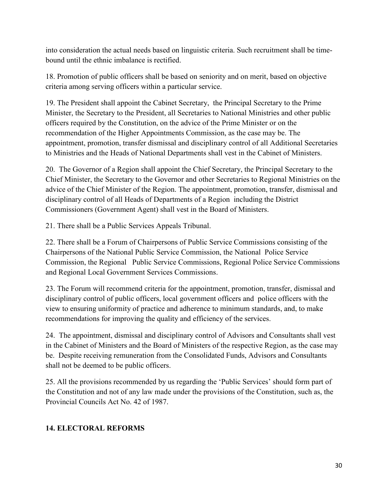into consideration the actual needs based on linguistic criteria. Such recruitment shall be timebound until the ethnic imbalance is rectified.

18. Promotion of public officers shall be based on seniority and on merit, based on objective criteria among serving officers within a particular service.

19. The President shall appoint the Cabinet Secretary, the Principal Secretary to the Prime Minister, the Secretary to the President, all Secretaries to National Ministries and other public officers required by the Constitution, on the advice of the Prime Minister or on the recommendation of the Higher Appointments Commission, as the case may be. The appointment, promotion, transfer dismissal and disciplinary control of all Additional Secretaries to Ministries and the Heads of National Departments shall vest in the Cabinet of Ministers.

20. The Governor of a Region shall appoint the Chief Secretary, the Principal Secretary to the Chief Minister, the Secretary to the Governor and other Secretaries to Regional Ministries on the advice of the Chief Minister of the Region. The appointment, promotion, transfer, dismissal and disciplinary control of all Heads of Departments of a Region including the District Commissioners (Government Agent) shall vest in the Board of Ministers.

21. There shall be a Public Services Appeals Tribunal.

22. There shall be a Forum of Chairpersons of Public Service Commissions consisting of the Chairpersons of the National Public Service Commission, the National Police Service Commission, the Regional Public Service Commissions, Regional Police Service Commissions and Regional Local Government Services Commissions.

23. The Forum will recommend criteria for the appointment, promotion, transfer, dismissal and disciplinary control of public officers, local government officers and police officers with the view to ensuring uniformity of practice and adherence to minimum standards, and, to make recommendations for improving the quality and efficiency of the services.

24. The appointment, dismissal and disciplinary control of Advisors and Consultants shall vest in the Cabinet of Ministers and the Board of Ministers of the respective Region, as the case may be. Despite receiving remuneration from the Consolidated Funds, Advisors and Consultants shall not be deemed to be public officers.

25. All the provisions recommended by us regarding the 'Public Services' should form part of the Constitution and not of any law made under the provisions of the Constitution, such as, the Provincial Councils Act No. 42 of 1987.

### **14. ELECTORAL REFORMS**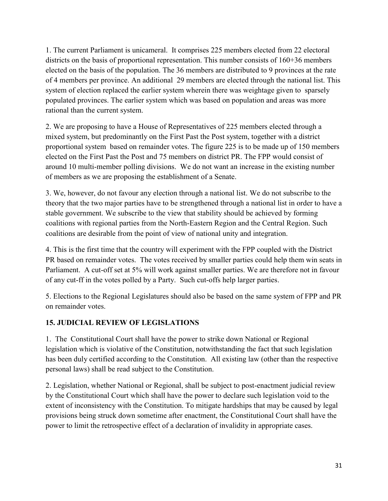1. The current Parliament is unicameral. It comprises 225 members elected from 22 electoral districts on the basis of proportional representation. This number consists of 160+36 members elected on the basis of the population. The 36 members are distributed to 9 provinces at the rate of 4 members per province. An additional 29 members are elected through the national list. This system of election replaced the earlier system wherein there was weightage given to sparsely populated provinces. The earlier system which was based on population and areas was more rational than the current system.

2. We are proposing to have a House of Representatives of 225 members elected through a mixed system, but predominantly on the First Past the Post system, together with a district proportional system based on remainder votes. The figure 225 is to be made up of 150 members elected on the First Past the Post and 75 members on district PR. The FPP would consist of around 10 multi-member polling divisions. We do not want an increase in the existing number of members as we are proposing the establishment of a Senate.

3. We, however, do not favour any election through a national list. We do not subscribe to the theory that the two major parties have to be strengthened through a national list in order to have a stable government. We subscribe to the view that stability should be achieved by forming coalitions with regional parties from the North-Eastern Region and the Central Region. Such coalitions are desirable from the point of view of national unity and integration.

4. This is the first time that the country will experiment with the FPP coupled with the District PR based on remainder votes. The votes received by smaller parties could help them win seats in Parliament. A cut-off set at 5% will work against smaller parties. We are therefore not in favour of any cut-ff in the votes polled by a Party. Such cut-offs help larger parties.

5. Elections to the Regional Legislatures should also be based on the same system of FPP and PR on remainder votes.

### **15. JUDICIAL REVIEW OF LEGISLATIONS**

1. The Constitutional Court shall have the power to strike down National or Regional legislation which is violative of the Constitution, notwithstanding the fact that such legislation has been duly certified according to the Constitution. All existing law (other than the respective personal laws) shall be read subject to the Constitution.

2. Legislation, whether National or Regional, shall be subject to post-enactment judicial review by the Constitutional Court which shall have the power to declare such legislation void to the extent of inconsistency with the Constitution. To mitigate hardships that may be caused by legal provisions being struck down sometime after enactment, the Constitutional Court shall have the power to limit the retrospective effect of a declaration of invalidity in appropriate cases.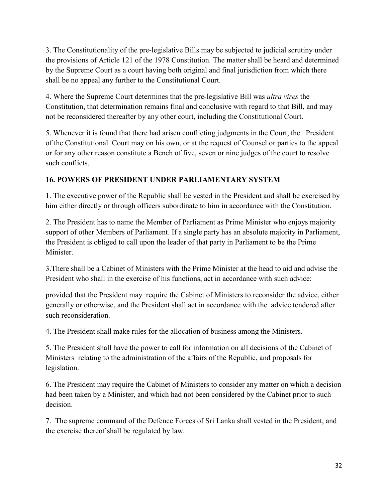3. The Constitutionality of the pre-legislative Bills may be subjected to judicial scrutiny under the provisions of Article 121 of the 1978 Constitution. The matter shall be heard and determined by the Supreme Court as a court having both original and final jurisdiction from which there shall be no appeal any further to the Constitutional Court.

4. Where the Supreme Court determines that the pre-legislative Bill was *ultra vires* the Constitution, that determination remains final and conclusive with regard to that Bill, and may not be reconsidered thereafter by any other court, including the Constitutional Court.

5. Whenever it is found that there had arisen conflicting judgments in the Court, the President of the Constitutional Court may on his own, or at the request of Counsel or parties to the appeal or for any other reason constitute a Bench of five, seven or nine judges of the court to resolve such conflicts.

# **16. POWERS OF PRESIDENT UNDER PARLIAMENTARY SYSTEM**

1. The executive power of the Republic shall be vested in the President and shall be exercised by him either directly or through officers subordinate to him in accordance with the Constitution.

2. The President has to name the Member of Parliament as Prime Minister who enjoys majority support of other Members of Parliament. If a single party has an absolute majority in Parliament, the President is obliged to call upon the leader of that party in Parliament to be the Prime **Minister** 

3.There shall be a Cabinet of Ministers with the Prime Minister at the head to aid and advise the President who shall in the exercise of his functions, act in accordance with such advice:

provided that the President may require the Cabinet of Ministers to reconsider the advice, either generally or otherwise, and the President shall act in accordance with the advice tendered after such reconsideration.

4. The President shall make rules for the allocation of business among the Ministers.

5. The President shall have the power to call for information on all decisions of the Cabinet of Ministers relating to the administration of the affairs of the Republic, and proposals for legislation.

6. The President may require the Cabinet of Ministers to consider any matter on which a decision had been taken by a Minister, and which had not been considered by the Cabinet prior to such decision.

7. The supreme command of the Defence Forces of Sri Lanka shall vested in the President, and the exercise thereof shall be regulated by law.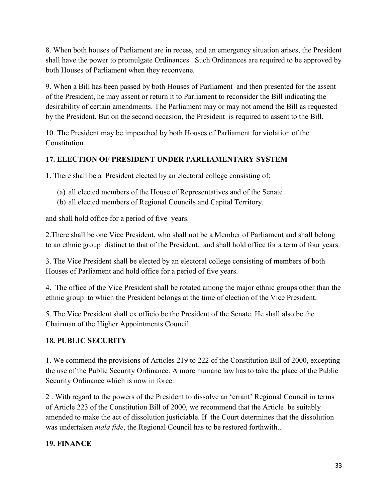8. When both houses of Parliament are in recess, and an emergency situation arises, the President shall have the power to promulgate Ordinances . Such Ordinances are required to be approved by both Houses of Parliament when they reconvene.

9. When a Bill has been passed by both Houses of Parliament and then presented for the assent of the President, he may assent or return it to Parliament to reconsider the Bill indicating the desirability of certain amendments. The Parliament may or may not amend the Bill as requested by the President. But on the second occasion, the President is required to assent to the Bill.

10. The President may be impeached by both Houses of Parliament for violation of the Constitution.

# **17. ELECTION OF PRESIDENT UNDER PARLIAMENTARY SYSTEM**

1. There shall be a President elected by an electoral college consisting of:

- (a) all elected members of the House of Representatives and of the Senate
- (b) all elected members of Regional Councils and Capital Territory.

and shall hold office for a period of five years.

2.There shall be one Vice President, who shall not be a Member of Parliament and shall belong to an ethnic group distinct to that of the President, and shall hold office for a term of four years.

3. The Vice President shall be elected by an electoral college consisting of members of both Houses of Parliament and hold office for a period of five years.

4. The office of the Vice President shall be rotated among the major ethnic groups other than the ethnic group to which the President belongs at the time of election of the Vice President.

5. The Vice President shall ex officio be the President of the Senate. He shall also be the Chairman of the Higher Appointments Council.

### **18. PUBLIC SECURITY**

1. We commend the provisions of Articles 219 to 222 of the Constitution Bill of 2000, excepting the use of the Public Security Ordinance. A more humane law has to take the place of the Public Security Ordinance which is now in force.

2 . With regard to the powers of the President to dissolve an 'errant' Regional Council in terms of Article 223 of the Constitution Bill of 2000, we recommend that the Article be suitably amended to make the act of dissolution justiciable. If the Court determines that the dissolution was undertaken *mala fide*, the Regional Council has to be restored forthwith..

### **19. FINANCE**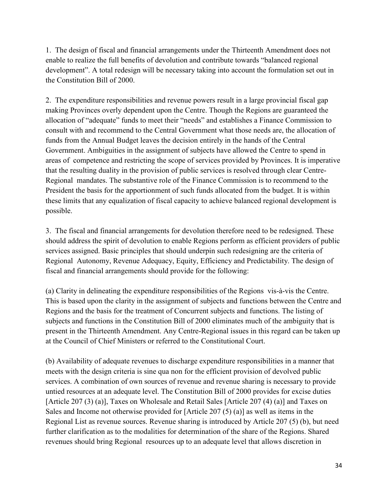1. The design of fiscal and financial arrangements under the Thirteenth Amendment does not enable to realize the full benefits of devolution and contribute towards "balanced regional development". A total redesign will be necessary taking into account the formulation set out in the Constitution Bill of 2000.

2. The expenditure responsibilities and revenue powers result in a large provincial fiscal gap making Provinces overly dependent upon the Centre. Though the Regions are guaranteed the allocation of "adequate" funds to meet their "needs" and establishes a Finance Commission to consult with and recommend to the Central Government what those needs are, the allocation of funds from the Annual Budget leaves the decision entirely in the hands of the Central Government. Ambiguities in the assignment of subjects have allowed the Centre to spend in areas of competence and restricting the scope of services provided by Provinces. It is imperative that the resulting duality in the provision of public services is resolved through clear Centre-Regional mandates. The substantive role of the Finance Commission is to recommend to the President the basis for the apportionment of such funds allocated from the budget. It is within these limits that any equalization of fiscal capacity to achieve balanced regional development is possible.

3. The fiscal and financial arrangements for devolution therefore need to be redesigned. These should address the spirit of devolution to enable Regions perform as efficient providers of public services assigned. Basic principles that should underpin such redesigning are the criteria of Regional Autonomy, Revenue Adequacy, Equity, Efficiency and Predictability. The design of fiscal and financial arrangements should provide for the following:

(a) Clarity in delineating the expenditure responsibilities of the Regions vis-à-vis the Centre. This is based upon the clarity in the assignment of subjects and functions between the Centre and Regions and the basis for the treatment of Concurrent subjects and functions. The listing of subjects and functions in the Constitution Bill of 2000 eliminates much of the ambiguity that is present in the Thirteenth Amendment. Any Centre-Regional issues in this regard can be taken up at the Council of Chief Ministers or referred to the Constitutional Court.

(b) Availability of adequate revenues to discharge expenditure responsibilities in a manner that meets with the design criteria is sine qua non for the efficient provision of devolved public services. A combination of own sources of revenue and revenue sharing is necessary to provide untied resources at an adequate level. The Constitution Bill of 2000 provides for excise duties [Article 207 (3) (a)], Taxes on Wholesale and Retail Sales [Article 207 (4) (a)] and Taxes on Sales and Income not otherwise provided for [Article 207 (5) (a)] as well as items in the Regional List as revenue sources. Revenue sharing is introduced by Article 207 (5) (b), but need further clarification as to the modalities for determination of the share of the Regions. Shared revenues should bring Regional resources up to an adequate level that allows discretion in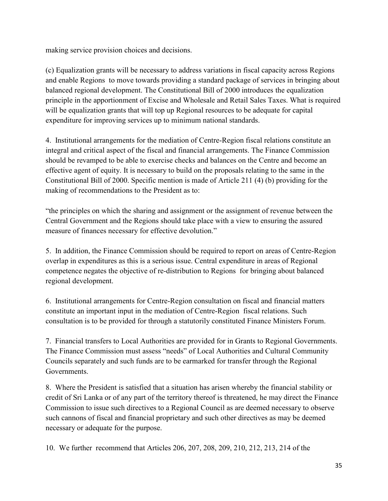making service provision choices and decisions.

(c) Equalization grants will be necessary to address variations in fiscal capacity across Regions and enable Regions to move towards providing a standard package of services in bringing about balanced regional development. The Constitutional Bill of 2000 introduces the equalization principle in the apportionment of Excise and Wholesale and Retail Sales Taxes. What is required will be equalization grants that will top up Regional resources to be adequate for capital expenditure for improving services up to minimum national standards.

4. Institutional arrangements for the mediation of Centre-Region fiscal relations constitute an integral and critical aspect of the fiscal and financial arrangements. The Finance Commission should be revamped to be able to exercise checks and balances on the Centre and become an effective agent of equity. It is necessary to build on the proposals relating to the same in the Constitutional Bill of 2000. Specific mention is made of Article 211 (4) (b) providing for the making of recommendations to the President as to:

"the principles on which the sharing and assignment or the assignment of revenue between the Central Government and the Regions should take place with a view to ensuring the assured measure of finances necessary for effective devolution."

5. In addition, the Finance Commission should be required to report on areas of Centre-Region overlap in expenditures as this is a serious issue. Central expenditure in areas of Regional competence negates the objective of re-distribution to Regions for bringing about balanced regional development.

6. Institutional arrangements for Centre-Region consultation on fiscal and financial matters constitute an important input in the mediation of Centre-Region fiscal relations. Such consultation is to be provided for through a statutorily constituted Finance Ministers Forum.

7. Financial transfers to Local Authorities are provided for in Grants to Regional Governments. The Finance Commission must assess "needs" of Local Authorities and Cultural Community Councils separately and such funds are to be earmarked for transfer through the Regional Governments.

8. Where the President is satisfied that a situation has arisen whereby the financial stability or credit of Sri Lanka or of any part of the territory thereof is threatened, he may direct the Finance Commission to issue such directives to a Regional Council as are deemed necessary to observe such cannons of fiscal and financial proprietary and such other directives as may be deemed necessary or adequate for the purpose.

10. We further recommend that Articles 206, 207, 208, 209, 210, 212, 213, 214 of the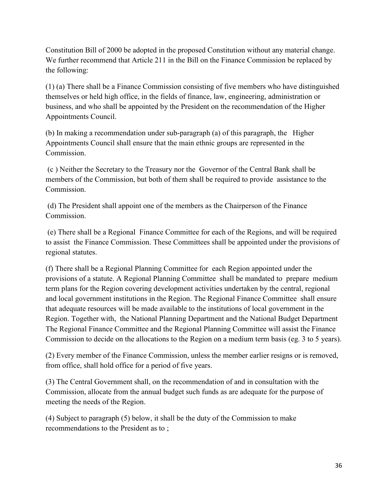Constitution Bill of 2000 be adopted in the proposed Constitution without any material change. We further recommend that Article 211 in the Bill on the Finance Commission be replaced by the following:

(1) (a) There shall be a Finance Commission consisting of five members who have distinguished themselves or held high office, in the fields of finance, law, engineering, administration or business, and who shall be appointed by the President on the recommendation of the Higher Appointments Council.

(b) In making a recommendation under sub-paragraph (a) of this paragraph, the Higher Appointments Council shall ensure that the main ethnic groups are represented in the Commission.

(c ) Neither the Secretary to the Treasury nor the Governor of the Central Bank shall be members of the Commission, but both of them shall be required to provide assistance to the Commission.

(d) The President shall appoint one of the members as the Chairperson of the Finance **Commission** 

(e) There shall be a Regional Finance Committee for each of the Regions, and will be required to assist the Finance Commission. These Committees shall be appointed under the provisions of regional statutes.

(f) There shall be a Regional Planning Committee for each Region appointed under the provisions of a statute. A Regional Planning Committee shall be mandated to prepare medium term plans for the Region covering development activities undertaken by the central, regional and local government institutions in the Region. The Regional Finance Committee shall ensure that adequate resources will be made available to the institutions of local government in the Region. Together with, the National Planning Department and the National Budget Department The Regional Finance Committee and the Regional Planning Committee will assist the Finance Commission to decide on the allocations to the Region on a medium term basis (eg. 3 to 5 years).

(2) Every member of the Finance Commission, unless the member earlier resigns or is removed, from office, shall hold office for a period of five years.

(3) The Central Government shall, on the recommendation of and in consultation with the Commission, allocate from the annual budget such funds as are adequate for the purpose of meeting the needs of the Region.

(4) Subject to paragraph (5) below, it shall be the duty of the Commission to make recommendations to the President as to ;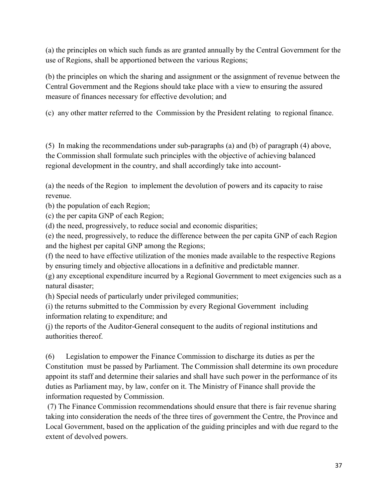(a) the principles on which such funds as are granted annually by the Central Government for the use of Regions, shall be apportioned between the various Regions;

(b) the principles on which the sharing and assignment or the assignment of revenue between the Central Government and the Regions should take place with a view to ensuring the assured measure of finances necessary for effective devolution; and

(c) any other matter referred to the Commission by the President relating to regional finance.

(5) In making the recommendations under sub-paragraphs (a) and (b) of paragraph (4) above, the Commission shall formulate such principles with the objective of achieving balanced regional development in the country, and shall accordingly take into account-

(a) the needs of the Region to implement the devolution of powers and its capacity to raise revenue.

(b) the population of each Region;

(c) the per capita GNP of each Region;

(d) the need, progressively, to reduce social and economic disparities;

(e) the need, progressively, to reduce the difference between the per capita GNP of each Region and the highest per capital GNP among the Regions;

(f) the need to have effective utilization of the monies made available to the respective Regions by ensuring timely and objective allocations in a definitive and predictable manner.

(g) any exceptional expenditure incurred by a Regional Government to meet exigencies such as a natural disaster;

(h) Special needs of particularly under privileged communities;

(i) the returns submitted to the Commission by every Regional Government including information relating to expenditure; and

(j) the reports of the Auditor-General consequent to the audits of regional institutions and authorities thereof.

(6) Legislation to empower the Finance Commission to discharge its duties as per the Constitution must be passed by Parliament. The Commission shall determine its own procedure appoint its staff and determine their salaries and shall have such power in the performance of its duties as Parliament may, by law, confer on it. The Ministry of Finance shall provide the information requested by Commission.

(7) The Finance Commission recommendations should ensure that there is fair revenue sharing taking into consideration the needs of the three tires of government the Centre, the Province and Local Government, based on the application of the guiding principles and with due regard to the extent of devolved powers.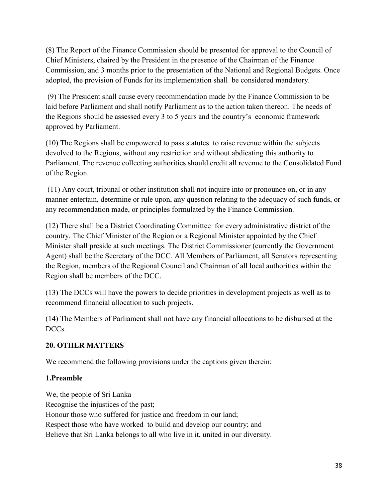(8) The Report of the Finance Commission should be presented for approval to the Council of Chief Ministers, chaired by the President in the presence of the Chairman of the Finance Commission, and 3 months prior to the presentation of the National and Regional Budgets. Once adopted, the provision of Funds for its implementation shall be considered mandatory.

(9) The President shall cause every recommendation made by the Finance Commission to be laid before Parliament and shall notify Parliament as to the action taken thereon. The needs of the Regions should be assessed every 3 to 5 years and the country's economic framework approved by Parliament.

(10) The Regions shall be empowered to pass statutes to raise revenue within the subjects devolved to the Regions, without any restriction and without abdicating this authority to Parliament. The revenue collecting authorities should credit all revenue to the Consolidated Fund of the Region.

(11) Any court, tribunal or other institution shall not inquire into or pronounce on, or in any manner entertain, determine or rule upon, any question relating to the adequacy of such funds, or any recommendation made, or principles formulated by the Finance Commission.

(12) There shall be a District Coordinating Committee for every administrative district of the country. The Chief Minister of the Region or a Regional Minister appointed by the Chief Minister shall preside at such meetings. The District Commissioner (currently the Government Agent) shall be the Secretary of the DCC. All Members of Parliament, all Senators representing the Region, members of the Regional Council and Chairman of all local authorities within the Region shall be members of the DCC.

(13) The DCCs will have the powers to decide priorities in development projects as well as to recommend financial allocation to such projects.

(14) The Members of Parliament shall not have any financial allocations to be disbursed at the DCCs.

### **20. OTHER MATTERS**

We recommend the following provisions under the captions given therein:

### **1.Preamble**

We, the people of Sri Lanka Recognise the injustices of the past; Honour those who suffered for justice and freedom in our land; Respect those who have worked to build and develop our country; and Believe that Sri Lanka belongs to all who live in it, united in our diversity.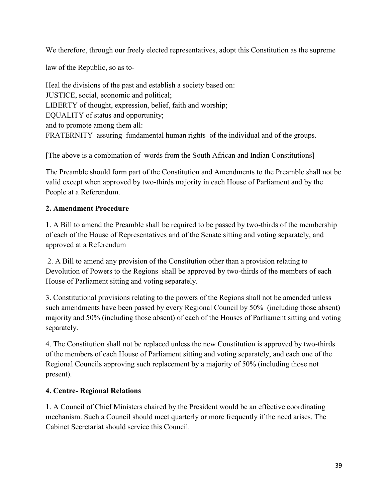We therefore, through our freely elected representatives, adopt this Constitution as the supreme

law of the Republic, so as to-

Heal the divisions of the past and establish a society based on: JUSTICE, social, economic and political; LIBERTY of thought, expression, belief, faith and worship; EQUALITY of status and opportunity; and to promote among them all: FRATERNITY assuring fundamental human rights of the individual and of the groups.

[The above is a combination of words from the South African and Indian Constitutions]

The Preamble should form part of the Constitution and Amendments to the Preamble shall not be valid except when approved by two-thirds majority in each House of Parliament and by the People at a Referendum.

### **2. Amendment Procedure**

1. A Bill to amend the Preamble shall be required to be passed by two-thirds of the membership of each of the House of Representatives and of the Senate sitting and voting separately, and approved at a Referendum

2. A Bill to amend any provision of the Constitution other than a provision relating to Devolution of Powers to the Regions shall be approved by two-thirds of the members of each House of Parliament sitting and voting separately.

3. Constitutional provisions relating to the powers of the Regions shall not be amended unless such amendments have been passed by every Regional Council by 50% (including those absent) majority and 50% (including those absent) of each of the Houses of Parliament sitting and voting separately.

4. The Constitution shall not be replaced unless the new Constitution is approved by two-thirds of the members of each House of Parliament sitting and voting separately, and each one of the Regional Councils approving such replacement by a majority of 50% (including those not present).

### **4. Centre- Regional Relations**

1. A Council of Chief Ministers chaired by the President would be an effective coordinating mechanism. Such a Council should meet quarterly or more frequently if the need arises. The Cabinet Secretariat should service this Council.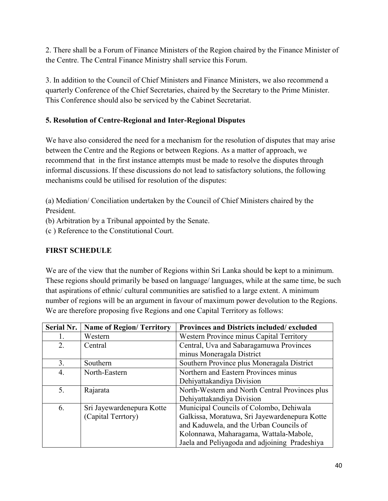2. There shall be a Forum of Finance Ministers of the Region chaired by the Finance Minister of the Centre. The Central Finance Ministry shall service this Forum.

3. In addition to the Council of Chief Ministers and Finance Ministers, we also recommend a quarterly Conference of the Chief Secretaries, chaired by the Secretary to the Prime Minister. This Conference should also be serviced by the Cabinet Secretariat.

# **5. Resolution of Centre-Regional and Inter-Regional Disputes**

We have also considered the need for a mechanism for the resolution of disputes that may arise between the Centre and the Regions or between Regions. As a matter of approach, we recommend that in the first instance attempts must be made to resolve the disputes through informal discussions. If these discussions do not lead to satisfactory solutions, the following mechanisms could be utilised for resolution of the disputes:

(a) Mediation/ Conciliation undertaken by the Council of Chief Ministers chaired by the President.

(b) Arbitration by a Tribunal appointed by the Senate.

(c ) Reference to the Constitutional Court.

# **FIRST SCHEDULE**

We are of the view that the number of Regions within Sri Lanka should be kept to a minimum. These regions should primarily be based on language/ languages, while at the same time, be such that aspirations of ethnic/ cultural communities are satisfied to a large extent. A minimum number of regions will be an argument in favour of maximum power devolution to the Regions. We are therefore proposing five Regions and one Capital Territory as follows:

| <b>Serial Nr.</b> | <b>Name of Region/ Territory</b> | Provinces and Districts included/excluded      |
|-------------------|----------------------------------|------------------------------------------------|
|                   | Western                          | Western Province minus Capital Territory       |
| 2.                | Central                          | Central, Uva and Sabaragamuwa Provinces        |
|                   |                                  | minus Moneragala District                      |
| 3.                | Southern                         | Southern Province plus Moneragala District     |
| $\overline{4}$ .  | North-Eastern                    | Northern and Eastern Provinces minus           |
|                   |                                  | Dehiyattakandiya Division                      |
| 5.                | Rajarata                         | North-Western and North Central Provinces plus |
|                   |                                  | Dehiyattakandiya Division                      |
| 6.                | Sri Jayewardenepura Kotte        | Municipal Councils of Colombo, Dehiwala        |
|                   | (Capital Terrtory)               | Galkissa, Moratuwa, Sri Jayewardenepura Kotte  |
|                   |                                  | and Kaduwela, and the Urban Councils of        |
|                   |                                  | Kolonnawa, Maharagama, Wattala-Mabole,         |
|                   |                                  | Jaela and Peliyagoda and adjoining Pradeshiya  |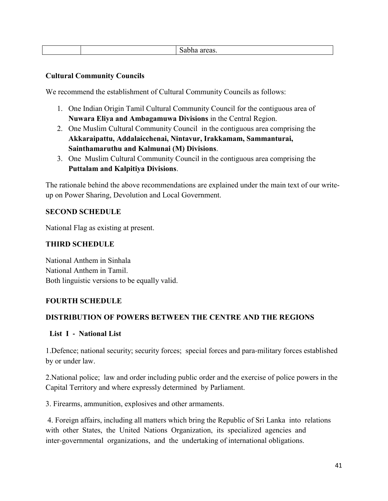#### **Cultural Community Councils**

We recommend the establishment of Cultural Community Councils as follows:

- 1. One Indian Origin Tamil Cultural Community Council for the contiguous area of **Nuwara Eliya and Ambagamuwa Divisions** in the Central Region.
- 2. One Muslim Cultural Community Council in the contiguous area comprising the **Akkaraipattu, Addalaicchenai, Nintavur, Irakkamam, Sammanturai, Sainthamaruthu and Kalmunai (M) Divisions**.
- 3. One Muslim Cultural Community Council in the contiguous area comprising the **Puttalam and Kalpitiya Divisions**.

The rationale behind the above recommendations are explained under the main text of our writeup on Power Sharing, Devolution and Local Government.

#### **SECOND SCHEDULE**

National Flag as existing at present.

#### **THIRD SCHEDULE**

National Anthem in Sinhala National Anthem in Tamil. Both linguistic versions to be equally valid.

#### **FOURTH SCHEDULE**

#### **DISTRIBUTION OF POWERS BETWEEN THE CENTRE AND THE REGIONS**

#### **List I ‐ National List**

1.Defence; national security; security forces; special forces and para‐military forces established by or under law.

2.National police; law and order including public order and the exercise of police powers in the Capital Territory and where expressly determined by Parliament.

3. Firearms, ammunition, explosives and other armaments.

4. Foreign affairs, including all matters which bring the Republic of Sri Lanka into relations with other States, the United Nations Organization, its specialized agencies and inter-governmental organizations, and the undertaking of international obligations.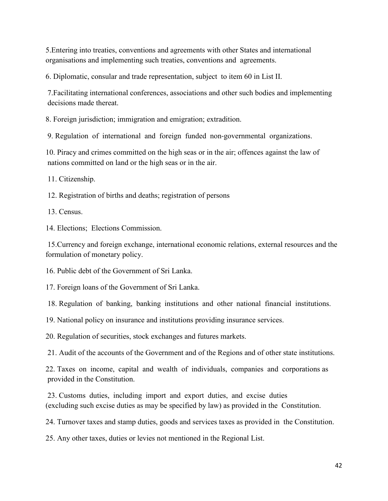5.Entering into treaties, conventions and agreements with other States and international organisations and implementing such treaties, conventions and agreements.

6. Diplomatic, consular and trade representation, subject to item 60 in List II.

7.Facilitating international conferences, associations and other such bodies and implementing decisions made thereat.

8. Foreign jurisdiction; immigration and emigration; extradition.

9. Regulation of international and foreign funded non‐governmental organizations.

10. Piracy and crimes committed on the high seas or in the air; offences against the law of nations committed on land or the high seas or in the air.

11. Citizenship.

12. Registration of births and deaths; registration of persons

13. Census.

14. Elections; Elections Commission.

15.Currency and foreign exchange, international economic relations, external resources and the formulation of monetary policy.

16. Public debt of the Government of Sri Lanka.

17. Foreign loans of the Government of Sri Lanka.

18. Regulation of banking, banking institutions and other national financial institutions.

19. National policy on insurance and institutions providing insurance services.

20. Regulation of securities, stock exchanges and futures markets.

21. Audit of the accounts of the Government and of the Regions and of other state institutions.

22. Taxes on income, capital and wealth of individuals, companies and corporations as provided in the Constitution.

23. Customs duties, including import and export duties, and excise duties (excluding such excise duties as may be specified by law) as provided in the Constitution.

24. Turnover taxes and stamp duties, goods and services taxes as provided in the Constitution.

25. Any other taxes, duties or levies not mentioned in the Regional List.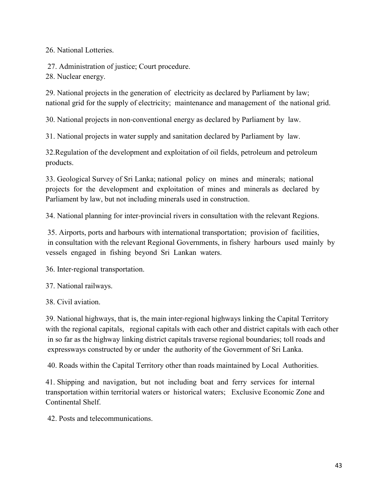26. National Lotteries.

27. Administration of justice; Court procedure.

28. Nuclear energy.

29. National projects in the generation of electricity as declared by Parliament by law; national grid for the supply of electricity; maintenance and management of the national grid.

30. National projects in non‐conventional energy as declared by Parliament by law.

31. National projects in water supply and sanitation declared by Parliament by law.

32.Regulation of the development and exploitation of oil fields, petroleum and petroleum products.

33. Geological Survey of Sri Lanka; national policy on mines and minerals; national projects for the development and exploitation of mines and minerals as declared by Parliament by law, but not including minerals used in construction.

34. National planning for inter‐provincial rivers in consultation with the relevant Regions.

35. Airports, ports and harbours with international transportation; provision of facilities, in consultation with the relevant Regional Governments, in fishery harbours used mainly by vessels engaged in fishing beyond Sri Lankan waters.

36. Inter‐regional transportation.

37. National railways.

38. Civil aviation.

39. National highways, that is, the main inter-regional highways linking the Capital Territory with the regional capitals, regional capitals with each other and district capitals with each other in so far as the highway linking district capitals traverse regional boundaries; toll roads and expressways constructed by or under the authority of the Government of Sri Lanka.

40. Roads within the Capital Territory other than roads maintained by Local Authorities.

41. Shipping and navigation, but not including boat and ferry services for internal transportation within territorial waters or historical waters; Exclusive Economic Zone and Continental Shelf.

42. Posts and telecommunications.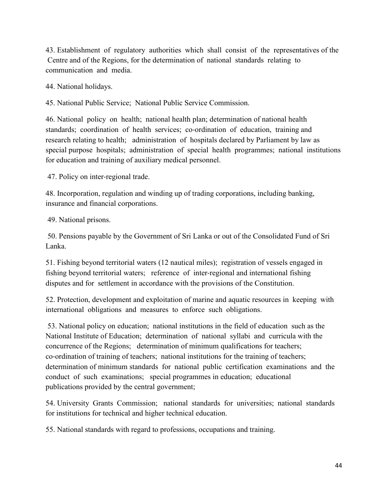43. Establishment of regulatory authorities which shall consist of the representatives of the Centre and of the Regions, for the determination of national standards relating to communication and media.

44. National holidays.

45. National Public Service; National Public Service Commission.

46. National policy on health; national health plan; determination of national health standards; coordination of health services; co-ordination of education, training and research relating to health; administration of hospitals declared by Parliament by law as special purpose hospitals; administration of special health programmes; national institutions for education and training of auxiliary medical personnel.

47. Policy on inter-regional trade.

48. Incorporation, regulation and winding up of trading corporations, including banking, insurance and financial corporations.

49. National prisons.

50. Pensions payable by the Government of Sri Lanka or out of the Consolidated Fund of Sri Lanka.

51. Fishing beyond territorial waters (12 nautical miles); registration of vessels engaged in fishing beyond territorial waters; reference of inter-regional and international fishing disputes and for settlement in accordance with the provisions of the Constitution.

52. Protection, development and exploitation of marine and aquatic resources in keeping with international obligations and measures to enforce such obligations.

53. National policy on education; national institutions in the field of education such as the National Institute of Education; determination of national syllabi and curricula with the concurrence of the Regions; determination of minimum qualifications for teachers; co‐ordination of training of teachers; national institutions for the training of teachers; determination of minimum standards for national public certification examinations and the conduct of such examinations; special programmes in education; educational publications provided by the central government;

54. University Grants Commission; national standards for universities; national standards for institutions for technical and higher technical education.

55. National standards with regard to professions, occupations and training.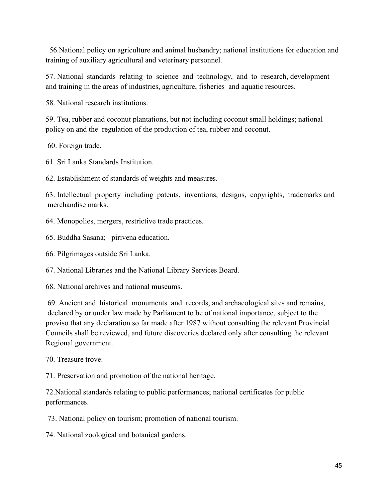56.National policy on agriculture and animal husbandry; national institutions for education and training of auxiliary agricultural and veterinary personnel.

57. National standards relating to science and technology, and to research, development and training in the areas of industries, agriculture, fisheries and aquatic resources.

58. National research institutions.

59. Tea, rubber and coconut plantations, but not including coconut small holdings; national policy on and the regulation of the production of tea, rubber and coconut.

60. Foreign trade.

61. Sri Lanka Standards Institution.

62. Establishment of standards of weights and measures.

63. Intellectual property including patents, inventions, designs, copyrights, trademarks and merchandise marks.

64. Monopolies, mergers, restrictive trade practices.

65. Buddha Sasana; pirivena education.

66. Pilgrimages outside Sri Lanka.

67. National Libraries and the National Library Services Board.

68. National archives and national museums.

69. Ancient and historical monuments and records, and archaeological sites and remains, declared by or under law made by Parliament to be of national importance, subject to the proviso that any declaration so far made after 1987 without consulting the relevant Provincial Councils shall be reviewed, and future discoveries declared only after consulting the relevant Regional government.

70. Treasure trove.

71. Preservation and promotion of the national heritage.

72.National standards relating to public performances; national certificates for public performances.

73. National policy on tourism; promotion of national tourism.

74. National zoological and botanical gardens.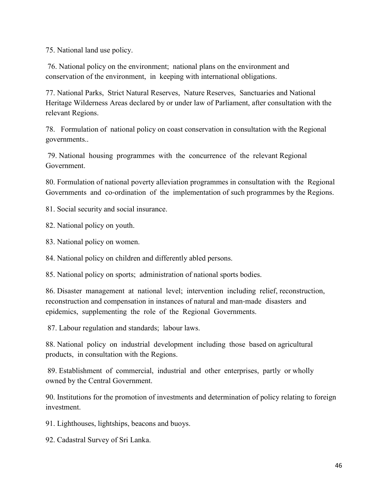75. National land use policy.

76. National policy on the environment; national plans on the environment and conservation of the environment, in keeping with international obligations.

77. National Parks, Strict Natural Reserves, Nature Reserves, Sanctuaries and National Heritage Wilderness Areas declared by or under law of Parliament, after consultation with the relevant Regions.

78. Formulation of national policy on coast conservation in consultation with the Regional governments..

79. National housing programmes with the concurrence of the relevant Regional Government.

80. Formulation of national poverty alleviation programmes in consultation with the Regional Governments and co-ordination of the implementation of such programmes by the Regions.

81. Social security and social insurance.

82. National policy on youth.

83. National policy on women.

84. National policy on children and differently abled persons.

85. National policy on sports; administration of national sports bodies.

86. Disaster management at national level; intervention including relief, reconstruction, reconstruction and compensation in instances of natural and man-made disasters and epidemics, supplementing the role of the Regional Governments.

87. Labour regulation and standards; labour laws.

88. National policy on industrial development including those based on agricultural products, in consultation with the Regions.

89. Establishment of commercial, industrial and other enterprises, partly or wholly owned by the Central Government.

90. Institutions for the promotion of investments and determination of policy relating to foreign investment.

91. Lighthouses, lightships, beacons and buoys.

92. Cadastral Survey of Sri Lanka.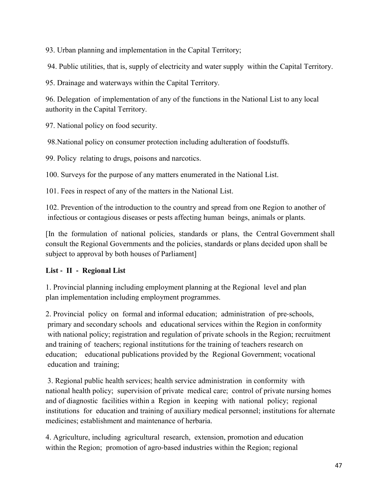93. Urban planning and implementation in the Capital Territory;

94. Public utilities, that is, supply of electricity and water supply within the Capital Territory.

95. Drainage and waterways within the Capital Territory.

96. Delegation of implementation of any of the functions in the National List to any local authority in the Capital Territory.

97. National policy on food security.

98.National policy on consumer protection including adulteration of foodstuffs.

99. Policy relating to drugs, poisons and narcotics.

100. Surveys for the purpose of any matters enumerated in the National List.

101. Fees in respect of any of the matters in the National List.

102. Prevention of the introduction to the country and spread from one Region to another of infectious or contagious diseases or pests affecting human beings, animals or plants.

[In the formulation of national policies, standards or plans, the Central Government shall consult the Regional Governments and the policies, standards or plans decided upon shall be subject to approval by both houses of Parliament]

# **List ‐ II ‐ Regional List**

1. Provincial planning including employment planning at the Regional level and plan plan implementation including employment programmes.

2. Provincial policy on formal and informal education; administration of pre‐schools, primary and secondary schools and educational services within the Region in conformity with national policy; registration and regulation of private schools in the Region; recruitment and training of teachers; regional institutions for the training of teachers research on education; educational publications provided by the Regional Government; vocational education and training;

3. Regional public health services; health service administration in conformity with national health policy; supervision of private medical care; control of private nursing homes and of diagnostic facilities within a Region in keeping with national policy; regional institutions for education and training of auxiliary medical personnel; institutions for alternate medicines; establishment and maintenance of herbaria.

4. Agriculture, including agricultural research, extension, promotion and education within the Region; promotion of agro-based industries within the Region; regional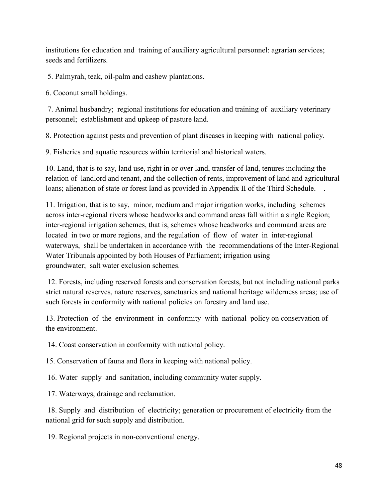institutions for education and training of auxiliary agricultural personnel: agrarian services; seeds and fertilizers.

5. Palmyrah, teak, oil-palm and cashew plantations.

6. Coconut small holdings.

7. Animal husbandry; regional institutions for education and training of auxiliary veterinary personnel; establishment and upkeep of pasture land.

8. Protection against pests and prevention of plant diseases in keeping with national policy.

9. Fisheries and aquatic resources within territorial and historical waters.

10. Land, that is to say, land use, right in or over land, transfer of land, tenures including the relation of landlord and tenant, and the collection of rents, improvement of land and agricultural loans; alienation of state or forest land as provided in Appendix II of the Third Schedule. .

11. Irrigation, that is to say, minor, medium and major irrigation works, including schemes across inter-regional rivers whose headworks and command areas fall within a single Region; inter-regional irrigation schemes, that is, schemes whose headworks and command areas are located in two or more regions, and the regulation of flow of water in inter-regional waterways, shall be undertaken in accordance with the recommendations of the Inter-Regional Water Tribunals appointed by both Houses of Parliament; irrigation using groundwater; salt water exclusion schemes.

12. Forests, including reserved forests and conservation forests, but not including national parks strict natural reserves, nature reserves, sanctuaries and national heritage wilderness areas; use of such forests in conformity with national policies on forestry and land use.

13. Protection of the environment in conformity with national policy on conservation of the environment.

14. Coast conservation in conformity with national policy.

15. Conservation of fauna and flora in keeping with national policy.

16. Water supply and sanitation, including community water supply.

17. Waterways, drainage and reclamation.

18. Supply and distribution of electricity; generation or procurement of electricity from the national grid for such supply and distribution.

19. Regional projects in non‐conventional energy.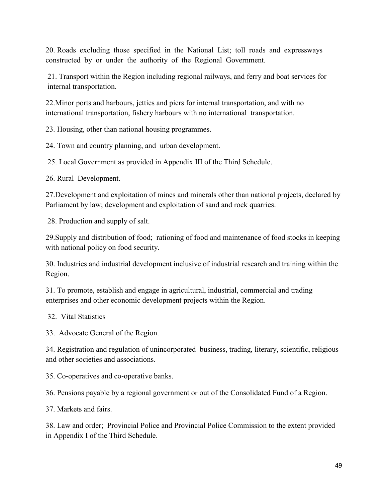20. Roads excluding those specified in the National List; toll roads and expressways constructed by or under the authority of the Regional Government.

21. Transport within the Region including regional railways, and ferry and boat services for internal transportation.

22.Minor ports and harbours, jetties and piers for internal transportation, and with no international transportation, fishery harbours with no international transportation.

23. Housing, other than national housing programmes.

24. Town and country planning, and urban development.

25. Local Government as provided in Appendix III of the Third Schedule.

26. Rural Development.

27.Development and exploitation of mines and minerals other than national projects, declared by Parliament by law; development and exploitation of sand and rock quarries.

28. Production and supply of salt.

29.Supply and distribution of food; rationing of food and maintenance of food stocks in keeping with national policy on food security.

30. Industries and industrial development inclusive of industrial research and training within the Region.

31. To promote, establish and engage in agricultural, industrial, commercial and trading enterprises and other economic development projects within the Region.

32. Vital Statistics

33. Advocate General of the Region.

34. Registration and regulation of unincorporated business, trading, literary, scientific, religious and other societies and associations.

35. Co‐operatives and co‐operative banks.

36. Pensions payable by a regional government or out of the Consolidated Fund of a Region.

37. Markets and fairs.

38. Law and order; Provincial Police and Provincial Police Commission to the extent provided in Appendix I of the Third Schedule.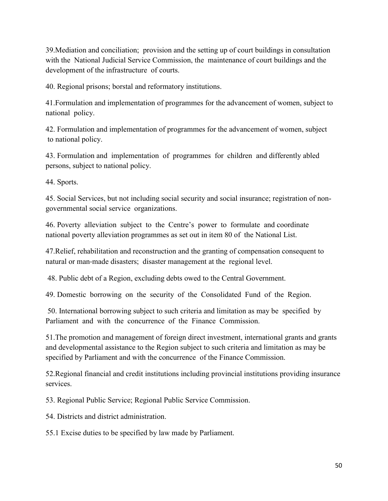39.Mediation and conciliation; provision and the setting up of court buildings in consultation with the National Judicial Service Commission, the maintenance of court buildings and the development of the infrastructure of courts.

40. Regional prisons; borstal and reformatory institutions.

41.Formulation and implementation of programmes for the advancement of women, subject to national policy.

42. Formulation and implementation of programmes for the advancement of women, subject to national policy.

43. Formulation and implementation of programmes for children and differently abled persons, subject to national policy.

44. Sports.

45. Social Services, but not including social security and social insurance; registration of nongovernmental social service organizations.

46. Poverty alleviation subject to the Centre's power to formulate and coordinate national poverty alleviation programmes as set out in item 80 of the National List.

47.Relief, rehabilitation and reconstruction and the granting of compensation consequent to natural or man‐made disasters; disaster management at the regional level.

48. Public debt of a Region, excluding debts owed to the Central Government.

49. Domestic borrowing on the security of the Consolidated Fund of the Region.

50. International borrowing subject to such criteria and limitation as may be specified by Parliament and with the concurrence of the Finance Commission.

51.The promotion and management of foreign direct investment, international grants and grants and developmental assistance to the Region subject to such criteria and limitation as may be specified by Parliament and with the concurrence of the Finance Commission.

52.Regional financial and credit institutions including provincial institutions providing insurance services.

53. Regional Public Service; Regional Public Service Commission.

54. Districts and district administration.

55.1 Excise duties to be specified by law made by Parliament.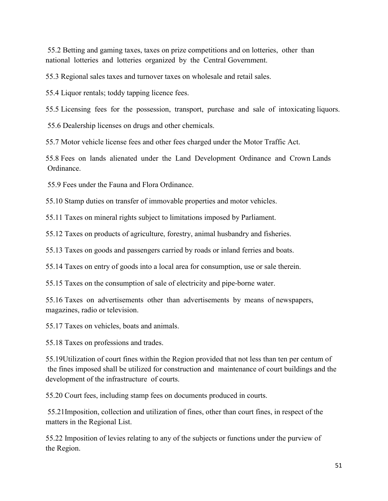55.2 Betting and gaming taxes, taxes on prize competitions and on lotteries, other than national lotteries and lotteries organized by the Central Government.

55.3 Regional sales taxes and turnover taxes on wholesale and retail sales.

55.4 Liquor rentals; toddy tapping licence fees.

55.5 Licensing fees for the possession, transport, purchase and sale of intoxicating liquors.

55.6 Dealership licenses on drugs and other chemicals.

55.7 Motor vehicle license fees and other fees charged under the Motor Traffic Act.

55.8 Fees on lands alienated under the Land Development Ordinance and Crown Lands Ordinance.

55.9 Fees under the Fauna and Flora Ordinance.

55.10 Stamp duties on transfer of immovable properties and motor vehicles.

55.11 Taxes on mineral rights subject to limitations imposed by Parliament.

55.12 Taxes on products of agriculture, forestry, animal husbandry and fisheries.

55.13 Taxes on goods and passengers carried by roads or inland ferries and boats.

55.14 Taxes on entry of goods into a local area for consumption, use or sale therein.

55.15 Taxes on the consumption of sale of electricity and pipe‐borne water.

55.16 Taxes on advertisements other than advertisements by means of newspapers, magazines, radio or television.

55.17 Taxes on vehicles, boats and animals.

55.18 Taxes on professions and trades.

55.19Utilization of court fines within the Region provided that not less than ten per centum of the fines imposed shall be utilized for construction and maintenance of court buildings and the development of the infrastructure of courts.

55.20 Court fees, including stamp fees on documents produced in courts.

55.21Imposition, collection and utilization of fines, other than court fines, in respect of the matters in the Regional List.

55.22 Imposition of levies relating to any of the subjects or functions under the purview of the Region.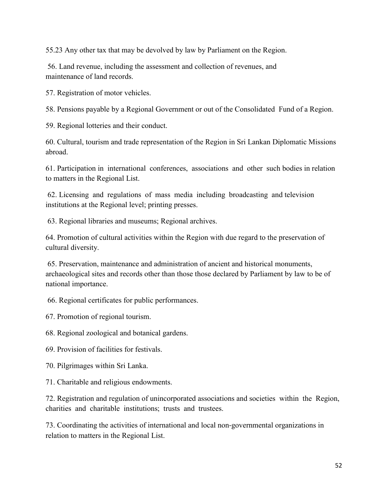55.23 Any other tax that may be devolved by law by Parliament on the Region.

56. Land revenue, including the assessment and collection of revenues, and maintenance of land records.

57. Registration of motor vehicles.

58. Pensions payable by a Regional Government or out of the Consolidated Fund of a Region.

59. Regional lotteries and their conduct.

60. Cultural, tourism and trade representation of the Region in Sri Lankan Diplomatic Missions abroad.

61. Participation in international conferences, associations and other such bodies in relation to matters in the Regional List.

62. Licensing and regulations of mass media including broadcasting and television institutions at the Regional level; printing presses.

63. Regional libraries and museums; Regional archives.

64. Promotion of cultural activities within the Region with due regard to the preservation of cultural diversity.

65. Preservation, maintenance and administration of ancient and historical monuments, archaeological sites and records other than those those declared by Parliament by law to be of national importance.

66. Regional certificates for public performances.

67. Promotion of regional tourism.

68. Regional zoological and botanical gardens.

69. Provision of facilities for festivals.

70. Pilgrimages within Sri Lanka.

71. Charitable and religious endowments.

72. Registration and regulation of unincorporated associations and societies within the Region, charities and charitable institutions; trusts and trustees.

73. Coordinating the activities of international and local non‐governmental organizations in relation to matters in the Regional List.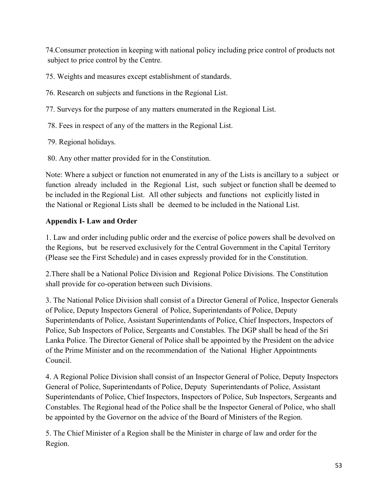74.Consumer protection in keeping with national policy including price control of products not subject to price control by the Centre.

75. Weights and measures except establishment of standards.

- 76. Research on subjects and functions in the Regional List.
- 77. Surveys for the purpose of any matters enumerated in the Regional List.
- 78. Fees in respect of any of the matters in the Regional List.
- 79. Regional holidays.
- 80. Any other matter provided for in the Constitution.

Note: Where a subject or function not enumerated in any of the Lists is ancillary to a subject or function already included in the Regional List, such subject or function shall be deemed to be included in the Regional List. All other subjects and functions not explicitly listed in the National or Regional Lists shall be deemed to be included in the National List.

# **Appendix I- Law and Order**

1. Law and order including public order and the exercise of police powers shall be devolved on the Regions, but be reserved exclusively for the Central Government in the Capital Territory (Please see the First Schedule) and in cases expressly provided for in the Constitution.

2.There shall be a National Police Division and Regional Police Divisions. The Constitution shall provide for co-operation between such Divisions.

3. The National Police Division shall consist of a Director General of Police, Inspector Generals of Police, Deputy Inspectors General of Police, Superintendants of Police, Deputy Superintendants of Police, Assistant Superintendants of Police, Chief Inspectors, Inspectors of Police, Sub Inspectors of Police, Sergeants and Constables. The DGP shall be head of the Sri Lanka Police. The Director General of Police shall be appointed by the President on the advice of the Prime Minister and on the recommendation of the National Higher Appointments Council.

4. A Regional Police Division shall consist of an Inspector General of Police, Deputy Inspectors General of Police, Superintendants of Police, Deputy Superintendants of Police, Assistant Superintendants of Police, Chief Inspectors, Inspectors of Police, Sub Inspectors, Sergeants and Constables. The Regional head of the Police shall be the Inspector General of Police, who shall be appointed by the Governor on the advice of the Board of Ministers of the Region.

5. The Chief Minister of a Region shall be the Minister in charge of law and order for the Region.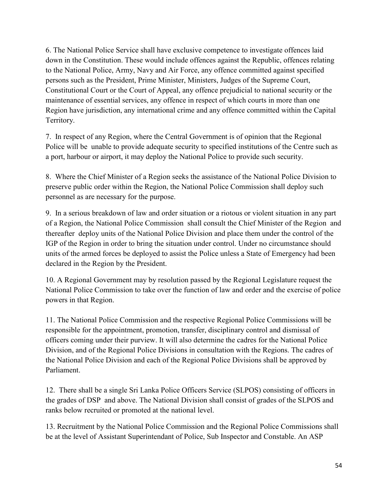6. The National Police Service shall have exclusive competence to investigate offences laid down in the Constitution. These would include offences against the Republic, offences relating to the National Police, Army, Navy and Air Force, any offence committed against specified persons such as the President, Prime Minister, Ministers, Judges of the Supreme Court, Constitutional Court or the Court of Appeal, any offence prejudicial to national security or the maintenance of essential services, any offence in respect of which courts in more than one Region have jurisdiction, any international crime and any offence committed within the Capital Territory.

7. In respect of any Region, where the Central Government is of opinion that the Regional Police will be unable to provide adequate security to specified institutions of the Centre such as a port, harbour or airport, it may deploy the National Police to provide such security.

8. Where the Chief Minister of a Region seeks the assistance of the National Police Division to preserve public order within the Region, the National Police Commission shall deploy such personnel as are necessary for the purpose.

9. In a serious breakdown of law and order situation or a riotous or violent situation in any part of a Region, the National Police Commission shall consult the Chief Minister of the Region and thereafter deploy units of the National Police Division and place them under the control of the IGP of the Region in order to bring the situation under control. Under no circumstance should units of the armed forces be deployed to assist the Police unless a State of Emergency had been declared in the Region by the President.

10. A Regional Government may by resolution passed by the Regional Legislature request the National Police Commission to take over the function of law and order and the exercise of police powers in that Region.

11. The National Police Commission and the respective Regional Police Commissions will be responsible for the appointment, promotion, transfer, disciplinary control and dismissal of officers coming under their purview. It will also determine the cadres for the National Police Division, and of the Regional Police Divisions in consultation with the Regions. The cadres of the National Police Division and each of the Regional Police Divisions shall be approved by Parliament.

12. There shall be a single Sri Lanka Police Officers Service (SLPOS) consisting of officers in the grades of DSP and above. The National Division shall consist of grades of the SLPOS and ranks below recruited or promoted at the national level.

13. Recruitment by the National Police Commission and the Regional Police Commissions shall be at the level of Assistant Superintendant of Police, Sub Inspector and Constable. An ASP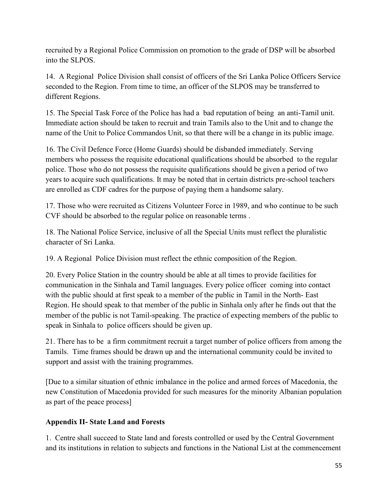recruited by a Regional Police Commission on promotion to the grade of DSP will be absorbed into the SLPOS.

14. A Regional Police Division shall consist of officers of the Sri Lanka Police Officers Service seconded to the Region. From time to time, an officer of the SLPOS may be transferred to different Regions.

15. The Special Task Force of the Police has had a bad reputation of being an anti-Tamil unit. Immediate action should be taken to recruit and train Tamils also to the Unit and to change the name of the Unit to Police Commandos Unit, so that there will be a change in its public image.

16. The Civil Defence Force (Home Guards) should be disbanded immediately. Serving members who possess the requisite educational qualifications should be absorbed to the regular police. Those who do not possess the requisite qualifications should be given a period of two years to acquire such qualifications. It may be noted that in certain districts pre-school teachers are enrolled as CDF cadres for the purpose of paying them a handsome salary.

17. Those who were recruited as Citizens Volunteer Force in 1989, and who continue to be such CVF should be absorbed to the regular police on reasonable terms .

18. The National Police Service, inclusive of all the Special Units must reflect the pluralistic character of Sri Lanka.

19. A Regional Police Division must reflect the ethnic composition of the Region.

20. Every Police Station in the country should be able at all times to provide facilities for communication in the Sinhala and Tamil languages. Every police officer coming into contact with the public should at first speak to a member of the public in Tamil in the North- East Region. He should speak to that member of the public in Sinhala only after he finds out that the member of the public is not Tamil-speaking. The practice of expecting members of the public to speak in Sinhala to police officers should be given up.

21. There has to be a firm commitment recruit a target number of police officers from among the Tamils. Time frames should be drawn up and the international community could be invited to support and assist with the training programmes.

[Due to a similar situation of ethnic imbalance in the police and armed forces of Macedonia, the new Constitution of Macedonia provided for such measures for the minority Albanian population as part of the peace process]

### **Appendix II- State Land and Forests**

1. Centre shall succeed to State land and forests controlled or used by the Central Government and its institutions in relation to subjects and functions in the National List at the commencement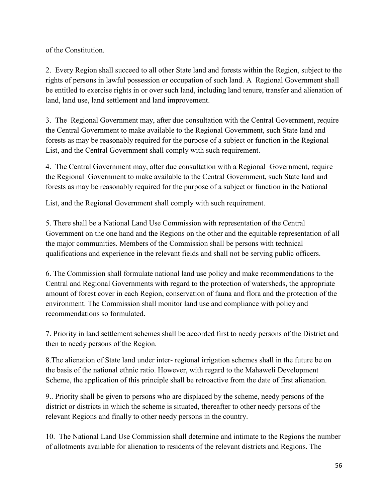of the Constitution.

2. Every Region shall succeed to all other State land and forests within the Region, subject to the rights of persons in lawful possession or occupation of such land. A Regional Government shall be entitled to exercise rights in or over such land, including land tenure, transfer and alienation of land, land use, land settlement and land improvement.

3. The Regional Government may, after due consultation with the Central Government, require the Central Government to make available to the Regional Government, such State land and forests as may be reasonably required for the purpose of a subject or function in the Regional List, and the Central Government shall comply with such requirement.

4. The Central Government may, after due consultation with a Regional Government, require the Regional Government to make available to the Central Government, such State land and forests as may be reasonably required for the purpose of a subject or function in the National

List, and the Regional Government shall comply with such requirement.

5. There shall be a National Land Use Commission with representation of the Central Government on the one hand and the Regions on the other and the equitable representation of all the major communities. Members of the Commission shall be persons with technical qualifications and experience in the relevant fields and shall not be serving public officers.

6. The Commission shall formulate national land use policy and make recommendations to the Central and Regional Governments with regard to the protection of watersheds, the appropriate amount of forest cover in each Region, conservation of fauna and flora and the protection of the environment. The Commission shall monitor land use and compliance with policy and recommendations so formulated.

7. Priority in land settlement schemes shall be accorded first to needy persons of the District and then to needy persons of the Region.

8.The alienation of State land under inter- regional irrigation schemes shall in the future be on the basis of the national ethnic ratio. However, with regard to the Mahaweli Development Scheme, the application of this principle shall be retroactive from the date of first alienation.

9.. Priority shall be given to persons who are displaced by the scheme, needy persons of the district or districts in which the scheme is situated, thereafter to other needy persons of the relevant Regions and finally to other needy persons in the country.

10. The National Land Use Commission shall determine and intimate to the Regions the number of allotments available for alienation to residents of the relevant districts and Regions. The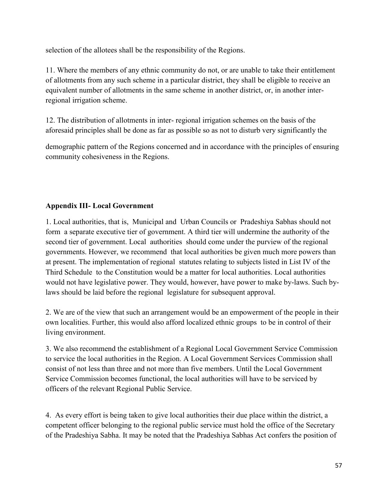selection of the allotees shall be the responsibility of the Regions.

11. Where the members of any ethnic community do not, or are unable to take their entitlement of allotments from any such scheme in a particular district, they shall be eligible to receive an equivalent number of allotments in the same scheme in another district, or, in another interregional irrigation scheme.

12. The distribution of allotments in inter- regional irrigation schemes on the basis of the aforesaid principles shall be done as far as possible so as not to disturb very significantly the

demographic pattern of the Regions concerned and in accordance with the principles of ensuring community cohesiveness in the Regions.

# **Appendix III- Local Government**

1. Local authorities, that is, Municipal and Urban Councils or Pradeshiya Sabhas should not form a separate executive tier of government. A third tier will undermine the authority of the second tier of government. Local authorities should come under the purview of the regional governments. However, we recommend that local authorities be given much more powers than at present. The implementation of regional statutes relating to subjects listed in List IV of the Third Schedule to the Constitution would be a matter for local authorities. Local authorities would not have legislative power. They would, however, have power to make by-laws. Such bylaws should be laid before the regional legislature for subsequent approval.

2. We are of the view that such an arrangement would be an empowerment of the people in their own localities. Further, this would also afford localized ethnic groups to be in control of their living environment.

3. We also recommend the establishment of a Regional Local Government Service Commission to service the local authorities in the Region. A Local Government Services Commission shall consist of not less than three and not more than five members. Until the Local Government Service Commission becomes functional, the local authorities will have to be serviced by officers of the relevant Regional Public Service.

4. As every effort is being taken to give local authorities their due place within the district, a competent officer belonging to the regional public service must hold the office of the Secretary of the Pradeshiya Sabha. It may be noted that the Pradeshiya Sabhas Act confers the position of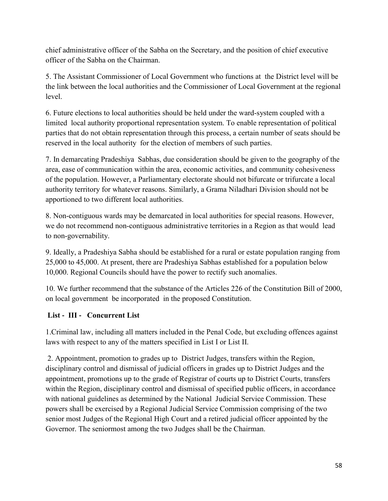chief administrative officer of the Sabha on the Secretary, and the position of chief executive officer of the Sabha on the Chairman.

5. The Assistant Commissioner of Local Government who functions at the District level will be the link between the local authorities and the Commissioner of Local Government at the regional level.

6. Future elections to local authorities should be held under the ward-system coupled with a limited local authority proportional representation system. To enable representation of political parties that do not obtain representation through this process, a certain number of seats should be reserved in the local authority for the election of members of such parties.

7. In demarcating Pradeshiya Sabhas, due consideration should be given to the geography of the area, ease of communication within the area, economic activities, and community cohesiveness of the population. However, a Parliamentary electorate should not bifurcate or trifurcate a local authority territory for whatever reasons. Similarly, a Grama Niladhari Division should not be apportioned to two different local authorities.

8. Non-contiguous wards may be demarcated in local authorities for special reasons. However, we do not recommend non-contiguous administrative territories in a Region as that would lead to non-governability.

9. Ideally, a Pradeshiya Sabha should be established for a rural or estate population ranging from 25,000 to 45,000. At present, there are Pradeshiya Sabhas established for a population below 10,000. Regional Councils should have the power to rectify such anomalies.

10. We further recommend that the substance of the Articles 226 of the Constitution Bill of 2000, on local government be incorporated in the proposed Constitution.

### **List ‐ III ‐ Concurrent List**

1.Criminal law, including all matters included in the Penal Code, but excluding offences against laws with respect to any of the matters specified in List I or List II.

2. Appointment, promotion to grades up to District Judges, transfers within the Region, disciplinary control and dismissal of judicial officers in grades up to District Judges and the appointment, promotions up to the grade of Registrar of courts up to District Courts, transfers within the Region, disciplinary control and dismissal of specified public officers, in accordance with national guidelines as determined by the National Judicial Service Commission. These powers shall be exercised by a Regional Judicial Service Commission comprising of the two senior most Judges of the Regional High Court and a retired judicial officer appointed by the Governor. The seniormost among the two Judges shall be the Chairman.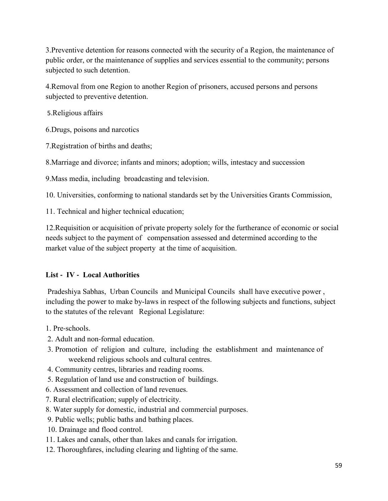3.Preventive detention for reasons connected with the security of a Region, the maintenance of public order, or the maintenance of supplies and services essential to the community; persons subjected to such detention.

4.Removal from one Region to another Region of prisoners, accused persons and persons subjected to preventive detention.

5.Religious affairs

6.Drugs, poisons and narcotics

7.Registration of births and deaths;

8.Marriage and divorce; infants and minors; adoption; wills, intestacy and succession

9.Mass media, including broadcasting and television.

10. Universities, conforming to national standards set by the Universities Grants Commission,

11. Technical and higher technical education;

12.Requisition or acquisition of private property solely for the furtherance of economic or social needs subject to the payment of compensation assessed and determined according to the market value of the subject property at the time of acquisition.

### **List ‐ IV ‐ Local Authorities**

Pradeshiya Sabhas, Urban Councils and Municipal Councils shall have executive power , including the power to make by-laws in respect of the following subjects and functions, subject to the statutes of the relevant Regional Legislature:

1. Pre‐schools.

- 2. Adult and non‐formal education.
- 3. Promotion of religion and culture, including the establishment and maintenance of weekend religious schools and cultural centres.
- 4. Community centres, libraries and reading rooms.
- 5. Regulation of land use and construction of buildings.
- 6. Assessment and collection of land revenues.
- 7. Rural electrification; supply of electricity.
- 8. Water supply for domestic, industrial and commercial purposes.
- 9. Public wells; public baths and bathing places.
- 10. Drainage and flood control.
- 11. Lakes and canals, other than lakes and canals for irrigation.
- 12. Thoroughfares, including clearing and lighting of the same.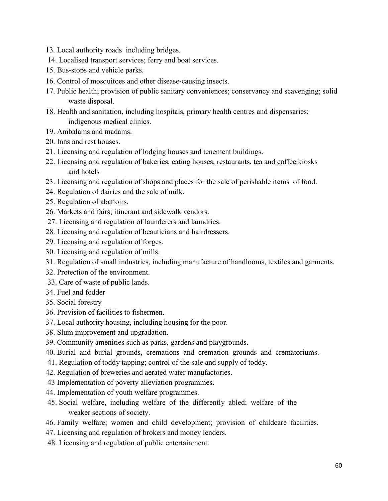- 13. Local authority roads including bridges.
- 14. Localised transport services; ferry and boat services.
- 15. Bus‐stops and vehicle parks.
- 16. Control of mosquitoes and other disease-causing insects.
- 17. Public health; provision of public sanitary conveniences; conservancy and scavenging; solid waste disposal.
- 18. Health and sanitation, including hospitals, primary health centres and dispensaries; indigenous medical clinics.
- 19. Ambalams and madams.
- 20. Inns and rest houses.
- 21. Licensing and regulation of lodging houses and tenement buildings.
- 22. Licensing and regulation of bakeries, eating houses, restaurants, tea and coffee kiosks and hotels
- 23. Licensing and regulation of shops and places for the sale of perishable items of food.
- 24. Regulation of dairies and the sale of milk.
- 25. Regulation of abattoirs.
- 26. Markets and fairs; itinerant and sidewalk vendors.
- 27. Licensing and regulation of launderers and laundries.
- 28. Licensing and regulation of beauticians and hairdressers.
- 29. Licensing and regulation of forges.
- 30. Licensing and regulation of mills.
- 31. Regulation of small industries, including manufacture of handlooms, textiles and garments.
- 32. Protection of the environment.
- 33. Care of waste of public lands.
- 34. Fuel and fodder
- 35. Social forestry
- 36. Provision of facilities to fishermen.
- 37. Local authority housing, including housing for the poor.
- 38. Slum improvement and upgradation.
- 39. Community amenities such as parks, gardens and playgrounds.
- 40. Burial and burial grounds, cremations and cremation grounds and crematoriums.
- 41. Regulation of toddy tapping; control of the sale and supply of toddy.
- 42. Regulation of breweries and aerated water manufactories.
- 43 Implementation of poverty alleviation programmes.
- 44. Implementation of youth welfare programmes.
- 45. Social welfare, including welfare of the differently abled; welfare of the weaker sections of society.
- 46. Family welfare; women and child development; provision of childcare facilities.
- 47. Licensing and regulation of brokers and money lenders.
- 48. Licensing and regulation of public entertainment.